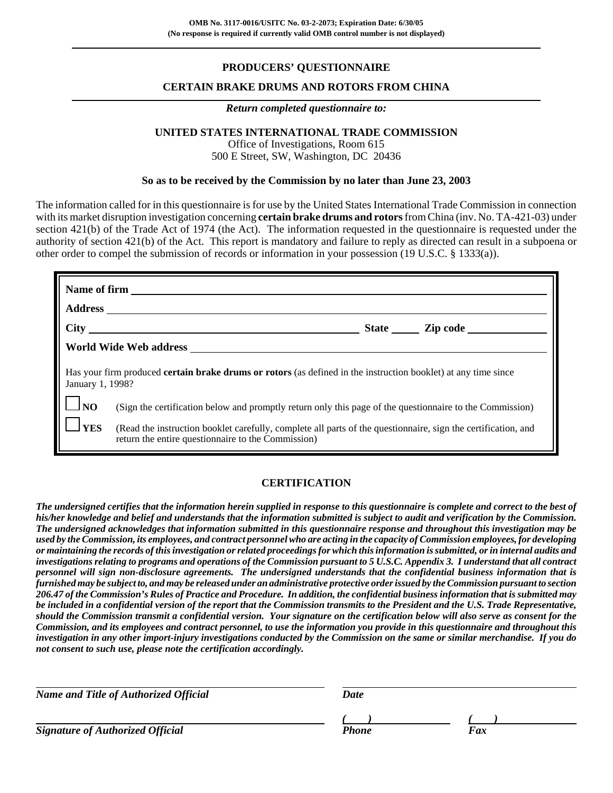### **PRODUCERS' QUESTIONNAIRE**

#### **CERTAIN BRAKE DRUMS AND ROTORS FROM CHINA**

#### *Return completed questionnaire to:*

### **UNITED STATES INTERNATIONAL TRADE COMMISSION**

Office of Investigations, Room 615 500 E Street, SW, Washington, DC 20436

#### **So as to be received by the Commission by no later than June 23, 2003**

The information called for in this questionnaire is for use by the United States International Trade Commission in connection with its market disruption investigation concerning **certain brake drums and rotors** from China (inv. No. TA-421-03) under section 421(b) of the Trade Act of 1974 (the Act). The information requested in the questionnaire is requested under the authority of section 421(b) of the Act. This report is mandatory and failure to reply as directed can result in a subpoena or other order to compel the submission of records or information in your possession (19 U.S.C. § 1333(a)).

| <b>Name of firm</b>                                                                                                                       |                                                                                                                                                                     |  |  |  |  |
|-------------------------------------------------------------------------------------------------------------------------------------------|---------------------------------------------------------------------------------------------------------------------------------------------------------------------|--|--|--|--|
|                                                                                                                                           |                                                                                                                                                                     |  |  |  |  |
|                                                                                                                                           |                                                                                                                                                                     |  |  |  |  |
|                                                                                                                                           |                                                                                                                                                                     |  |  |  |  |
| Has your firm produced <b>certain brake drums or rotors</b> (as defined in the instruction booklet) at any time since<br>January 1, 1998? |                                                                                                                                                                     |  |  |  |  |
| $\lfloor \rfloor_{\rm NO}$                                                                                                                | (Sign the certification below and promptly return only this page of the questionnaire to the Commission)                                                            |  |  |  |  |
| $l$ yes                                                                                                                                   | (Read the instruction booklet carefully, complete all parts of the questionnaire, sign the certification, and<br>return the entire questionnaire to the Commission) |  |  |  |  |

### **CERTIFICATION**

*The undersigned certifies that the information herein supplied in response to this questionnaire is complete and correct to the best of his/her knowledge and belief and understands that the information submitted is subject to audit and verification by the Commission. The undersigned acknowledges that information submitted in this questionnaire response and throughout this investigation may be used by the Commission, its employees, and contract personnel who are acting in the capacity of Commission employees, for developing or maintaining the records of this investigation or related proceedings for which this information is submitted, or in internal audits and investigations relating to programs and operations of the Commission pursuant to 5 U.S.C. Appendix 3. I understand that all contract personnel will sign non-disclosure agreements. The undersigned understands that the confidential business information that is furnished may be subject to, and may be released under an administrative protective order issued by the Commission pursuant to section 206.47 of the Commission's Rules of Practice and Procedure. In addition, the confidential business information that is submitted may be included in a confidential version of the report that the Commission transmits to the President and the U.S. Trade Representative, should the Commission transmit a confidential version. Your signature on the certification below will also serve as consent for the Commission, and its employees and contract personnel, to use the information you provide in this questionnaire and throughout this investigation in any other import-injury investigations conducted by the Commission on the same or similar merchandise. If you do not consent to such use, please note the certification accordingly.*

| <b>Name and Title of Authorized Official</b> | Date  |     |  |
|----------------------------------------------|-------|-----|--|
|                                              |       |     |  |
| <b>Signature of Authorized Official</b>      | Phone | Fax |  |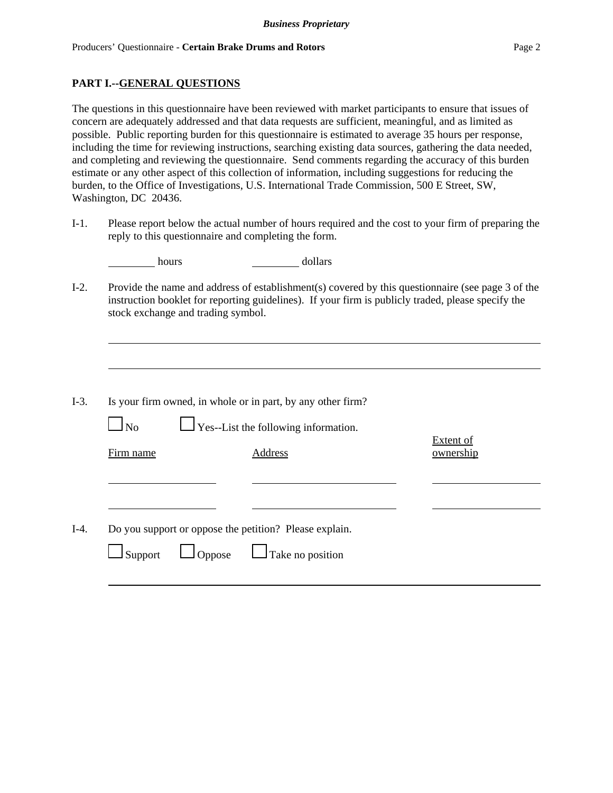### **PART I.--GENERAL QUESTIONS**

The questions in this questionnaire have been reviewed with market participants to ensure that issues of concern are adequately addressed and that data requests are sufficient, meaningful, and as limited as possible. Public reporting burden for this questionnaire is estimated to average 35 hours per response, including the time for reviewing instructions, searching existing data sources, gathering the data needed, and completing and reviewing the questionnaire. Send comments regarding the accuracy of this burden estimate or any other aspect of this collection of information, including suggestions for reducing the burden, to the Office of Investigations, U.S. International Trade Commission, 500 E Street, SW, Washington, DC 20436.

I-1. Please report below the actual number of hours required and the cost to your firm of preparing the reply to this questionnaire and completing the form.

| hours               | dollars                                                                                                                                                                                                                                         |                               |
|---------------------|-------------------------------------------------------------------------------------------------------------------------------------------------------------------------------------------------------------------------------------------------|-------------------------------|
|                     | Provide the name and address of establishment(s) covered by this questionnaire (see page $3$ of the<br>instruction booklet for reporting guidelines). If your firm is publicly traded, please specify the<br>stock exchange and trading symbol. |                               |
|                     |                                                                                                                                                                                                                                                 |                               |
| $\overline{\rm No}$ | Is your firm owned, in whole or in part, by any other firm?<br>$\Box$ Yes--List the following information.                                                                                                                                      |                               |
| Firm name           | <b>Address</b>                                                                                                                                                                                                                                  | <b>Extent of</b><br>ownership |
|                     | Do you support or oppose the petition? Please explain.                                                                                                                                                                                          |                               |
| Support             | Take no position<br>$O$ ppose                                                                                                                                                                                                                   |                               |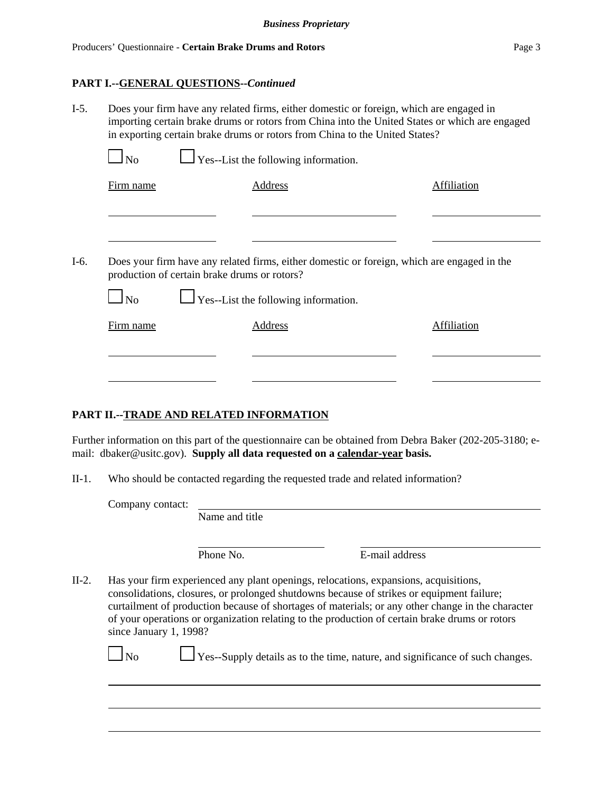### **PART I.--GENERAL QUESTIONS--***Continued*

| $I-5.$ | Does your firm have any related firms, either domestic or foreign, which are engaged in<br>importing certain brake drums or rotors from China into the United States or which are engaged<br>in exporting certain brake drums or rotors from China to the United States? |                                                                                                                                             |             |             |  |  |  |  |  |
|--------|--------------------------------------------------------------------------------------------------------------------------------------------------------------------------------------------------------------------------------------------------------------------------|---------------------------------------------------------------------------------------------------------------------------------------------|-------------|-------------|--|--|--|--|--|
|        | N <sub>o</sub>                                                                                                                                                                                                                                                           |                                                                                                                                             |             |             |  |  |  |  |  |
|        | Firm name                                                                                                                                                                                                                                                                | $\Box$ Yes--List the following information.<br><b>Address</b><br>$\Box$ Yes--List the following information.<br>Address                     | Affiliation |             |  |  |  |  |  |
|        |                                                                                                                                                                                                                                                                          |                                                                                                                                             |             |             |  |  |  |  |  |
| $I-6.$ |                                                                                                                                                                                                                                                                          | Does your firm have any related firms, either domestic or foreign, which are engaged in the<br>production of certain brake drums or rotors? |             |             |  |  |  |  |  |
|        | N <sub>o</sub>                                                                                                                                                                                                                                                           |                                                                                                                                             |             |             |  |  |  |  |  |
|        | Firm name                                                                                                                                                                                                                                                                |                                                                                                                                             |             | Affiliation |  |  |  |  |  |
|        |                                                                                                                                                                                                                                                                          |                                                                                                                                             |             |             |  |  |  |  |  |
|        |                                                                                                                                                                                                                                                                          |                                                                                                                                             |             |             |  |  |  |  |  |

### **PART II.--TRADE AND RELATED INFORMATION**

Further information on this part of the questionnaire can be obtained from Debra Baker (202-205-3180; email: dbaker@usitc.gov). **Supply all data requested on a calendar-year basis.**

II-1. Who should be contacted regarding the requested trade and related information?

Company contact:

Name and title

Phone No. **E**-mail address

II-2. Has your firm experienced any plant openings, relocations, expansions, acquisitions, consolidations, closures, or prolonged shutdowns because of strikes or equipment failure; curtailment of production because of shortages of materials; or any other change in the character of your operations or organization relating to the production of certain brake drums or rotors since January 1, 1998?

No  $\Box$  Yes--Supply details as to the time, nature, and significance of such changes.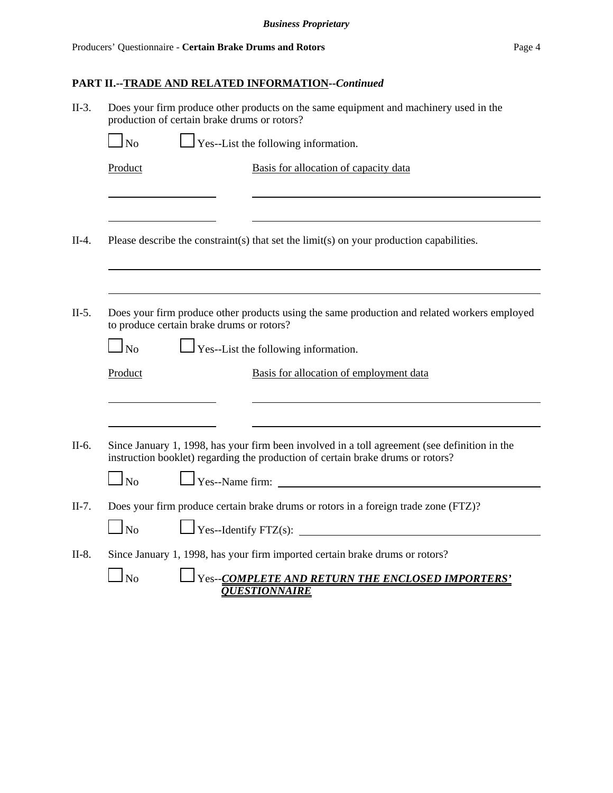| $II-3.$ | Does your firm produce other products on the same equipment and machinery used in the<br>production of certain brake drums or rotors? |                                                                                                                                                                                  |  |  |  |  |  |  |
|---------|---------------------------------------------------------------------------------------------------------------------------------------|----------------------------------------------------------------------------------------------------------------------------------------------------------------------------------|--|--|--|--|--|--|
|         | No                                                                                                                                    | Yes--List the following information.                                                                                                                                             |  |  |  |  |  |  |
|         | Product                                                                                                                               | Basis for allocation of capacity data                                                                                                                                            |  |  |  |  |  |  |
|         |                                                                                                                                       |                                                                                                                                                                                  |  |  |  |  |  |  |
| $II-4.$ |                                                                                                                                       | Please describe the constraint(s) that set the limit(s) on your production capabilities.                                                                                         |  |  |  |  |  |  |
|         |                                                                                                                                       |                                                                                                                                                                                  |  |  |  |  |  |  |
| $II-5.$ | to produce certain brake drums or rotors?<br>N <sub>o</sub>                                                                           | Does your firm produce other products using the same production and related workers employed<br>Yes--List the following information.                                             |  |  |  |  |  |  |
|         | Product                                                                                                                               | Basis for allocation of employment data                                                                                                                                          |  |  |  |  |  |  |
|         |                                                                                                                                       |                                                                                                                                                                                  |  |  |  |  |  |  |
| II-6.   |                                                                                                                                       | Since January 1, 1998, has your firm been involved in a toll agreement (see definition in the<br>instruction booklet) regarding the production of certain brake drums or rotors? |  |  |  |  |  |  |
|         | $\Box$ No                                                                                                                             | Yes--Name firm:                                                                                                                                                                  |  |  |  |  |  |  |
| $II-7.$ |                                                                                                                                       | Does your firm produce certain brake drums or rotors in a foreign trade zone (FTZ)?                                                                                              |  |  |  |  |  |  |
|         | $\Box$ No                                                                                                                             | $\Box$ Yes--Identify FTZ(s):                                                                                                                                                     |  |  |  |  |  |  |
| $II-8.$ |                                                                                                                                       | Since January 1, 1998, has your firm imported certain brake drums or rotors?                                                                                                     |  |  |  |  |  |  |
|         | <b>No</b>                                                                                                                             | Yes--COMPLETE AND RETURN THE ENCLOSED IMPORTERS'<br><b>OUESTIONNAIRE</b>                                                                                                         |  |  |  |  |  |  |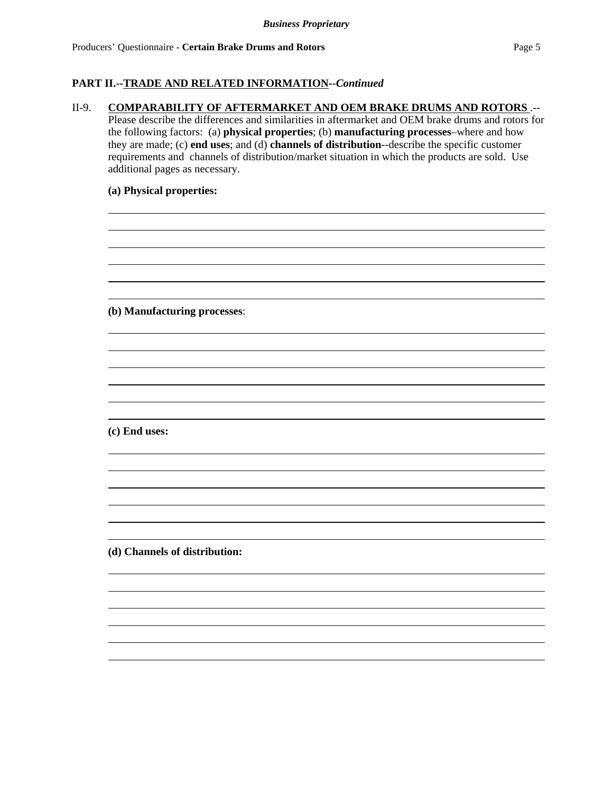### **PART II.--TRADE AND RELATED INFORMATION--***Continued*

#### II-9. **COMPARABILITY OF AFTERMARKET AND OEM BRAKE DRUMS AND ROTORS** .--

Please describe the differences and similarities in aftermarket and OEM brake drums and rotors for the following factors: (a) **physical properties**; (b) **manufacturing processes**–where and how they are made; (c) **end uses**; and (d) **channels of distribution**--describe the specific customer requirements and channels of distribution/market situation in which the products are sold. Use additional pages as necessary.

> $\overline{a}$  $\overline{a}$

> $\overline{a}$  $\overline{a}$

#### **(a) Physical properties:**

**(b) Manufacturing processes**:

**(c) End uses:**

**(d) Channels of distribution:**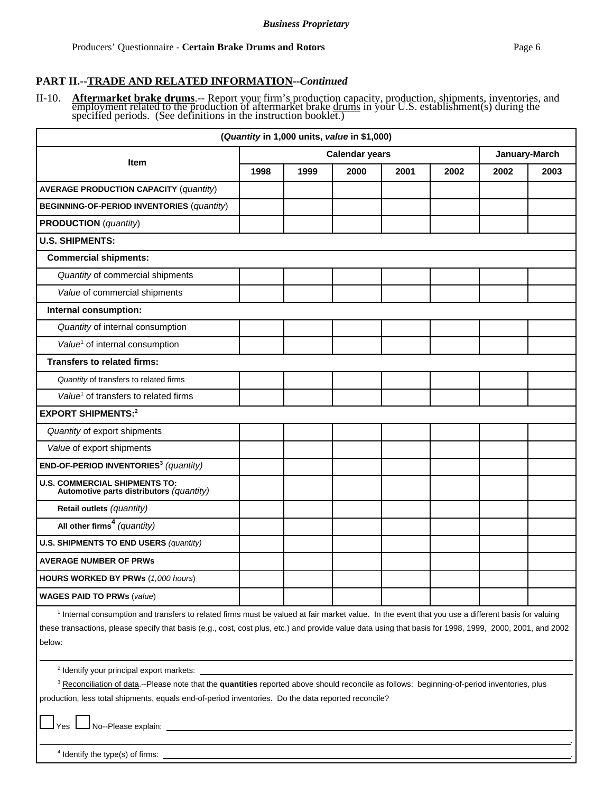.

#### **PART II.--TRADE AND RELATED INFORMATION--***Continued*

II-10. **Aftermarket brake drums**.-- Report your firm's production capacity, production, shipments, inventories, and employment related to the production of aftermarket brake <u>drums</u> in your U.S. establishment(s) during the

|                                                                           | (Quantity in 1,000 units, value in \$1,000)                                                    |  |  |  |  |  |  |  |
|---------------------------------------------------------------------------|------------------------------------------------------------------------------------------------|--|--|--|--|--|--|--|
|                                                                           | <b>Calendar years</b><br>January-March<br>1998<br>2000<br>2001<br>2002<br>2002<br>1999<br>2003 |  |  |  |  |  |  |  |
| <b>Item</b>                                                               |                                                                                                |  |  |  |  |  |  |  |
| <b>AVERAGE PRODUCTION CAPACITY (quantity)</b>                             |                                                                                                |  |  |  |  |  |  |  |
| <b>BEGINNING-OF-PERIOD INVENTORIES (quantity)</b>                         |                                                                                                |  |  |  |  |  |  |  |
| <b>PRODUCTION</b> (quantity)                                              |                                                                                                |  |  |  |  |  |  |  |
| <b>U.S. SHIPMENTS:</b>                                                    |                                                                                                |  |  |  |  |  |  |  |
| <b>Commercial shipments:</b>                                              |                                                                                                |  |  |  |  |  |  |  |
| Quantity of commercial shipments                                          |                                                                                                |  |  |  |  |  |  |  |
| Value of commercial shipments                                             |                                                                                                |  |  |  |  |  |  |  |
| Internal consumption:                                                     |                                                                                                |  |  |  |  |  |  |  |
| Quantity of internal consumption                                          |                                                                                                |  |  |  |  |  |  |  |
| Value <sup>1</sup> of internal consumption                                |                                                                                                |  |  |  |  |  |  |  |
| <b>Transfers to related firms:</b>                                        |                                                                                                |  |  |  |  |  |  |  |
| Quantity of transfers to related firms                                    |                                                                                                |  |  |  |  |  |  |  |
| Value <sup>1</sup> of transfers to related firms                          |                                                                                                |  |  |  |  |  |  |  |
| <b>EXPORT SHIPMENTS:2</b>                                                 |                                                                                                |  |  |  |  |  |  |  |
| Quantity of export shipments                                              |                                                                                                |  |  |  |  |  |  |  |
| Value of export shipments                                                 |                                                                                                |  |  |  |  |  |  |  |
| END-OF-PERIOD INVENTORIES <sup>3</sup> (quantity)                         |                                                                                                |  |  |  |  |  |  |  |
| U.S. COMMERCIAL SHIPMENTS TO:<br>Automotive parts distributors (quantity) |                                                                                                |  |  |  |  |  |  |  |
| Retail outlets (quantity)                                                 |                                                                                                |  |  |  |  |  |  |  |
| All other firms <sup>4</sup> (quantity)                                   |                                                                                                |  |  |  |  |  |  |  |
| <b>U.S. SHIPMENTS TO END USERS (quantity)</b>                             |                                                                                                |  |  |  |  |  |  |  |
| <b>AVERAGE NUMBER OF PRWs</b>                                             |                                                                                                |  |  |  |  |  |  |  |
| HOURS WORKED BY PRWs (1,000 hours)                                        |                                                                                                |  |  |  |  |  |  |  |
| <b>WAGES PAID TO PRWs (value)</b>                                         |                                                                                                |  |  |  |  |  |  |  |

<sup>1</sup> Internal consumption and transfers to related firms must be valued at fair market value. In the event that you use a different basis for valuing these transactions, please specify that basis (e.g., cost, cost plus, etc.) and provide value data using that basis for 1998, 1999, 2000, 2001, and 2002 below:

<sup>2</sup> Identify your principal export markets:

<sup>3</sup> Reconciliation of data.--Please note that the **quantities** reported above should reconcile as follows: beginning-of-period inventories, plus production, less total shipments, equals end-of-period inventories. Do the data reported reconcile?

Yes **No--Please explain:** 

<sup>4</sup> Identify the type(s) of firms: <u>example and the type of the type of the type of the type of the type of the type of the type of the type of the type of the type of the type of the type of the type of the type of the ty</u>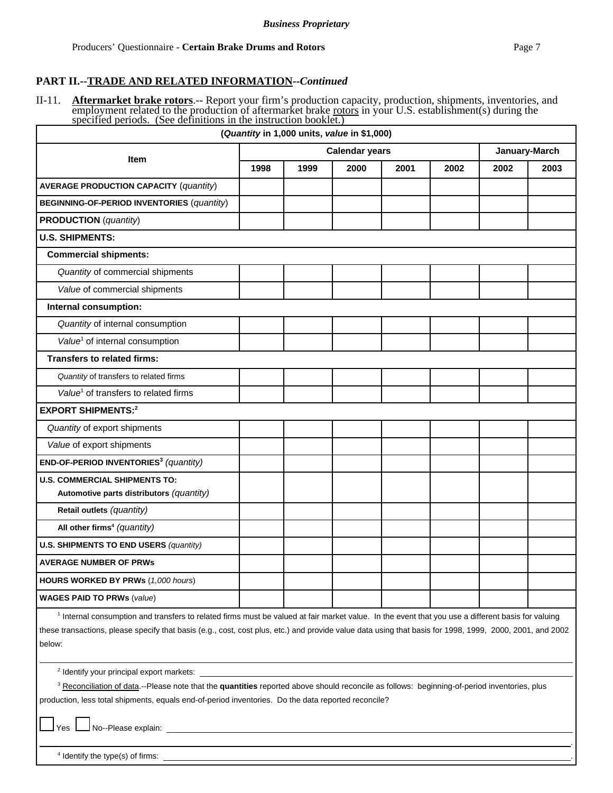.

### **PART II.--TRADE AND RELATED INFORMATION--***Continued*

II-11. **Aftermarket brake rotors**.-- Report your firm's production capacity, production, shipments, inventories, and employment related to the production of aftermarket brake <u>rotors</u> in your U.S. establishment(s) during t

|                                                                                                                                                                                                                                                                                                                           | (Quantity in 1,000 units, value in \$1,000) |      |                                        |      |      |      |      |  |
|---------------------------------------------------------------------------------------------------------------------------------------------------------------------------------------------------------------------------------------------------------------------------------------------------------------------------|---------------------------------------------|------|----------------------------------------|------|------|------|------|--|
|                                                                                                                                                                                                                                                                                                                           |                                             |      | January-March<br><b>Calendar years</b> |      |      |      |      |  |
| <b>Item</b>                                                                                                                                                                                                                                                                                                               | 1998                                        | 1999 | 2000                                   | 2001 | 2002 | 2002 | 2003 |  |
| <b>AVERAGE PRODUCTION CAPACITY (quantity)</b>                                                                                                                                                                                                                                                                             |                                             |      |                                        |      |      |      |      |  |
| <b>BEGINNING-OF-PERIOD INVENTORIES (quantity)</b>                                                                                                                                                                                                                                                                         |                                             |      |                                        |      |      |      |      |  |
| <b>PRODUCTION</b> (quantity)                                                                                                                                                                                                                                                                                              |                                             |      |                                        |      |      |      |      |  |
| <b>U.S. SHIPMENTS:</b>                                                                                                                                                                                                                                                                                                    |                                             |      |                                        |      |      |      |      |  |
| <b>Commercial shipments:</b>                                                                                                                                                                                                                                                                                              |                                             |      |                                        |      |      |      |      |  |
| Quantity of commercial shipments                                                                                                                                                                                                                                                                                          |                                             |      |                                        |      |      |      |      |  |
| Value of commercial shipments                                                                                                                                                                                                                                                                                             |                                             |      |                                        |      |      |      |      |  |
| Internal consumption:                                                                                                                                                                                                                                                                                                     |                                             |      |                                        |      |      |      |      |  |
| Quantity of internal consumption                                                                                                                                                                                                                                                                                          |                                             |      |                                        |      |      |      |      |  |
| Value <sup>1</sup> of internal consumption                                                                                                                                                                                                                                                                                |                                             |      |                                        |      |      |      |      |  |
| <b>Transfers to related firms:</b>                                                                                                                                                                                                                                                                                        |                                             |      |                                        |      |      |      |      |  |
| Quantity of transfers to related firms                                                                                                                                                                                                                                                                                    |                                             |      |                                        |      |      |      |      |  |
| Value <sup>1</sup> of transfers to related firms                                                                                                                                                                                                                                                                          |                                             |      |                                        |      |      |      |      |  |
| <b>EXPORT SHIPMENTS:2</b>                                                                                                                                                                                                                                                                                                 |                                             |      |                                        |      |      |      |      |  |
| Quantity of export shipments                                                                                                                                                                                                                                                                                              |                                             |      |                                        |      |      |      |      |  |
| Value of export shipments                                                                                                                                                                                                                                                                                                 |                                             |      |                                        |      |      |      |      |  |
| END-OF-PERIOD INVENTORIES <sup>3</sup> (quantity)                                                                                                                                                                                                                                                                         |                                             |      |                                        |      |      |      |      |  |
| <b>U.S. COMMERCIAL SHIPMENTS TO:</b><br>Automotive parts distributors (quantity)                                                                                                                                                                                                                                          |                                             |      |                                        |      |      |      |      |  |
| Retail outlets (quantity)                                                                                                                                                                                                                                                                                                 |                                             |      |                                        |      |      |      |      |  |
| All other firms <sup>4</sup> (quantity)                                                                                                                                                                                                                                                                                   |                                             |      |                                        |      |      |      |      |  |
| <b>U.S. SHIPMENTS TO END USERS (quantity)</b>                                                                                                                                                                                                                                                                             |                                             |      |                                        |      |      |      |      |  |
| <b>AVERAGE NUMBER OF PRWS</b>                                                                                                                                                                                                                                                                                             |                                             |      |                                        |      |      |      |      |  |
| <b>HOURS WORKED BY PRWs (1,000 hours)</b>                                                                                                                                                                                                                                                                                 |                                             |      |                                        |      |      |      |      |  |
| <b>WAGES PAID TO PRWs (value)</b>                                                                                                                                                                                                                                                                                         |                                             |      |                                        |      |      |      |      |  |
| <sup>1</sup> Internal consumption and transfers to related firms must be valued at fair market value. In the event that you use a different basis for valuing<br>these transactions, please specify that basis (e.g., cost, cost plus, etc.) and provide value data using that basis for 1998, 1999, 2000, 2001, and 2002 |                                             |      |                                        |      |      |      |      |  |

<sup>2</sup> Identify your principal export markets:

below:

<sup>3</sup> Reconciliation of data.--Please note that the **quantities** reported above should reconcile as follows: beginning-of-period inventories, plus production, less total shipments, equals end-of-period inventories. Do the data reported reconcile?

Yes **L**No--Please explain:

<sup>4</sup> Identify the type(s) of firms: <u>example and the type of the type of the type of the type of the type of the type of the type of the type of the type of the type of the type of the type of the type of the type of the ty</u>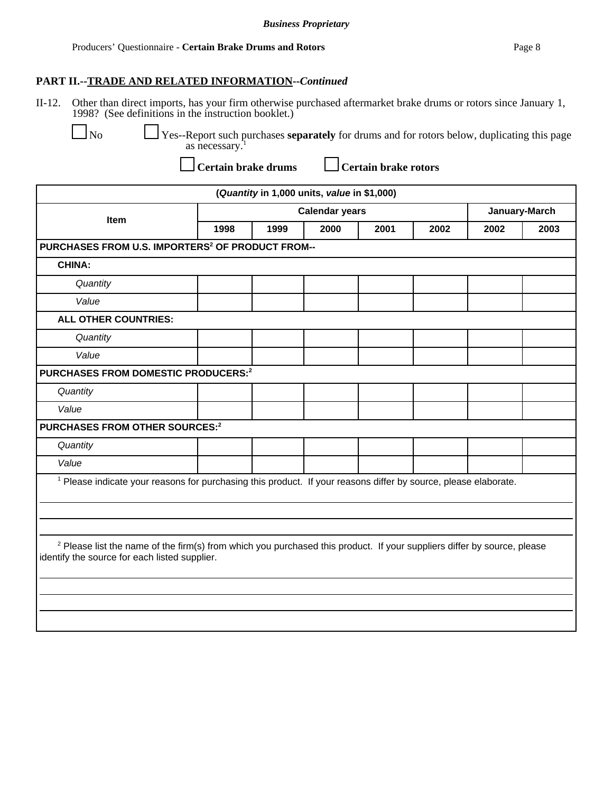### **PART II.--TRADE AND RELATED INFORMATION--***Continued*

II-12. Other than direct imports, has your firm otherwise purchased aftermarket brake drums or rotors since January 1, 1998? (See definitions in the instruction booklet.)

 No Yes--Report such purchases **separately** for drums and for rotors below, duplicating this page as necessary.<sup>1</sup>

Certain brake drums **Lettain brake rotors** 

| (Quantity in 1,000 units, value in \$1,000)                                                                                |                                                              |               |  |  |      |                                                                                                                                    |  |  |
|----------------------------------------------------------------------------------------------------------------------------|--------------------------------------------------------------|---------------|--|--|------|------------------------------------------------------------------------------------------------------------------------------------|--|--|
| <b>Calendar years</b><br>Item<br>1999<br>2000<br>2001<br>2002<br>1998                                                      |                                                              | January-March |  |  |      |                                                                                                                                    |  |  |
|                                                                                                                            |                                                              |               |  |  | 2002 | 2003                                                                                                                               |  |  |
|                                                                                                                            | PURCHASES FROM U.S. IMPORTERS <sup>2</sup> OF PRODUCT FROM-- |               |  |  |      |                                                                                                                                    |  |  |
|                                                                                                                            |                                                              |               |  |  |      |                                                                                                                                    |  |  |
|                                                                                                                            |                                                              |               |  |  |      |                                                                                                                                    |  |  |
|                                                                                                                            |                                                              |               |  |  |      |                                                                                                                                    |  |  |
|                                                                                                                            |                                                              |               |  |  |      |                                                                                                                                    |  |  |
|                                                                                                                            |                                                              |               |  |  |      |                                                                                                                                    |  |  |
|                                                                                                                            |                                                              |               |  |  |      |                                                                                                                                    |  |  |
| PURCHASES FROM DOMESTIC PRODUCERS:2                                                                                        |                                                              |               |  |  |      |                                                                                                                                    |  |  |
|                                                                                                                            |                                                              |               |  |  |      |                                                                                                                                    |  |  |
|                                                                                                                            |                                                              |               |  |  |      |                                                                                                                                    |  |  |
| PURCHASES FROM OTHER SOURCES:2                                                                                             |                                                              |               |  |  |      |                                                                                                                                    |  |  |
|                                                                                                                            |                                                              |               |  |  |      |                                                                                                                                    |  |  |
|                                                                                                                            |                                                              |               |  |  |      |                                                                                                                                    |  |  |
| <sup>1</sup> Please indicate your reasons for purchasing this product. If your reasons differ by source, please elaborate. |                                                              |               |  |  |      |                                                                                                                                    |  |  |
| identify the source for each listed supplier.                                                                              |                                                              |               |  |  |      |                                                                                                                                    |  |  |
|                                                                                                                            |                                                              |               |  |  |      | <sup>2</sup> Please list the name of the firm(s) from which you purchased this product. If your suppliers differ by source, please |  |  |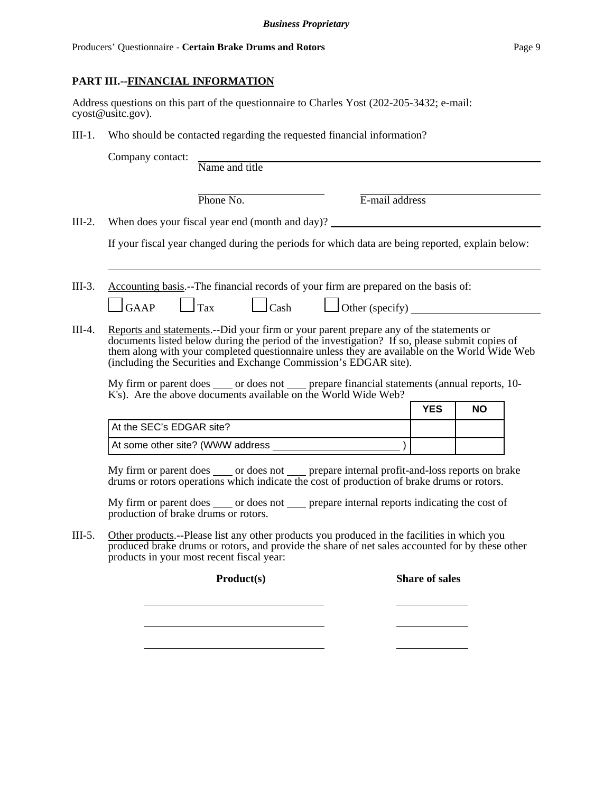#### Producers' Questionnaire - **Certain Brake Drums and Rotors** Page 9

### **PART III.--FINANCIAL INFORMATION**

Address questions on this part of the questionnaire to Charles Yost (202-205-3432; e-mail: cyost@usitc.gov).

III-1. Who should be contacted regarding the requested financial information?

| Company contact: |  |
|------------------|--|
|------------------|--|

Name and title

Phone No. **E**-mail address

III-2. When does your fiscal year end (month and day)?

If your fiscal year changed during the periods for which data are being reported, explain below:

 $\Box$ GAAP  $\Box$ Tax  $\Box$ Cash  $\Box$ Other (specify)

III-3. Accounting basis.--The financial records of your firm are prepared on the basis of:

III-4. Reports and statements.--Did your firm or your parent prepare any of the statements or documents listed below during the period of the investigation? If so, please submit copies of them along with your completed questionnaire unless they are available on the World Wide Web (including the Securities and Exchange Commission's EDGAR site).

My firm or parent does \_\_\_\_\_ or does not \_\_\_\_\_ prepare financial statements (annual reports, 10-K's). Are the above documents available on the World Wide Web?

|                                  | YES | <b>NO</b> |
|----------------------------------|-----|-----------|
| At the SEC's EDGAR site?         |     |           |
| At some other site? (WWW address |     |           |

My firm or parent does \_\_\_\_\_ or does not \_\_\_\_\_ prepare internal profit-and-loss reports on brake drums or rotors operations which indicate the cost of production of brake drums or rotors.

My firm or parent does \_\_\_\_\_ or does not \_\_\_\_\_ prepare internal reports indicating the cost of production of brake drums or rotors.

III-5. Other products.--Please list any other products you produced in the facilities in which you produced brake drums or rotors, and provide the share of net sales accounted for by these other products in your most recent fiscal year:

**Product(s) Share of sales**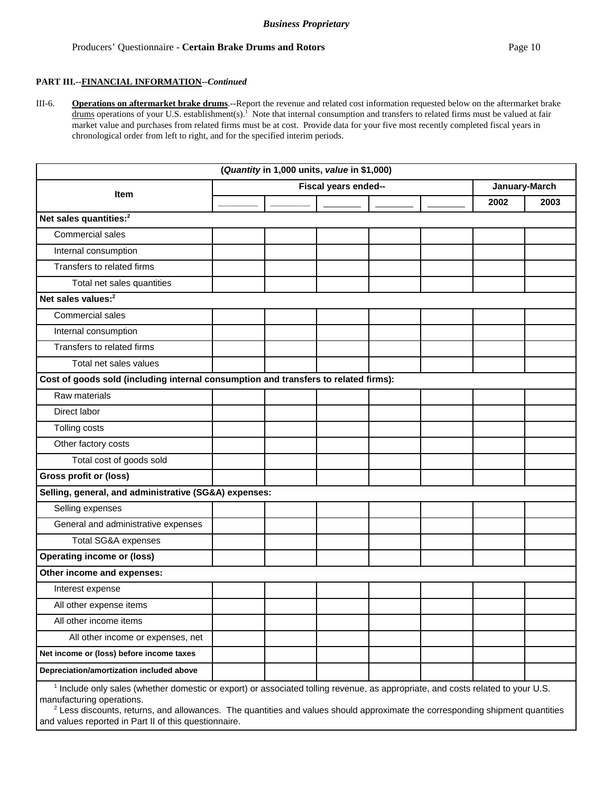#### Producers' Questionnaire - **Certain Brake Drums and Rotors Page 10 Page 10 Page 10 Page 10**

III-6. **Operations on aftermarket brake drums**.--Report the revenue and related cost information requested below on the aftermarket brake drums operations of your U.S. establishment(s).<sup>1</sup> Note that internal consumption and transfers to related firms must be valued at fair market value and purchases from related firms must be at cost. Provide data for your five most recently completed fiscal years in chronological order from left to right, and for the specified interim periods.

|                                                                                                                                 |  | (Quantity in 1,000 units, value in \$1,000) |  |  |  |               |      |
|---------------------------------------------------------------------------------------------------------------------------------|--|---------------------------------------------|--|--|--|---------------|------|
| Fiscal years ended--<br><b>Item</b>                                                                                             |  |                                             |  |  |  | January-March |      |
|                                                                                                                                 |  |                                             |  |  |  | 2002          | 2003 |
| Net sales quantities: <sup>2</sup>                                                                                              |  |                                             |  |  |  |               |      |
| Commercial sales                                                                                                                |  |                                             |  |  |  |               |      |
| Internal consumption                                                                                                            |  |                                             |  |  |  |               |      |
| Transfers to related firms                                                                                                      |  |                                             |  |  |  |               |      |
| Total net sales quantities                                                                                                      |  |                                             |  |  |  |               |      |
| Net sales values: <sup>2</sup>                                                                                                  |  |                                             |  |  |  |               |      |
| Commercial sales                                                                                                                |  |                                             |  |  |  |               |      |
| Internal consumption                                                                                                            |  |                                             |  |  |  |               |      |
| Transfers to related firms                                                                                                      |  |                                             |  |  |  |               |      |
| Total net sales values                                                                                                          |  |                                             |  |  |  |               |      |
| Cost of goods sold (including internal consumption and transfers to related firms):                                             |  |                                             |  |  |  |               |      |
| Raw materials                                                                                                                   |  |                                             |  |  |  |               |      |
| Direct labor                                                                                                                    |  |                                             |  |  |  |               |      |
| Tolling costs                                                                                                                   |  |                                             |  |  |  |               |      |
| Other factory costs                                                                                                             |  |                                             |  |  |  |               |      |
| Total cost of goods sold                                                                                                        |  |                                             |  |  |  |               |      |
| <b>Gross profit or (loss)</b>                                                                                                   |  |                                             |  |  |  |               |      |
| Selling, general, and administrative (SG&A) expenses:                                                                           |  |                                             |  |  |  |               |      |
| Selling expenses                                                                                                                |  |                                             |  |  |  |               |      |
| General and administrative expenses                                                                                             |  |                                             |  |  |  |               |      |
| Total SG&A expenses                                                                                                             |  |                                             |  |  |  |               |      |
| <b>Operating income or (loss)</b>                                                                                               |  |                                             |  |  |  |               |      |
| Other income and expenses:                                                                                                      |  |                                             |  |  |  |               |      |
| Interest expense                                                                                                                |  |                                             |  |  |  |               |      |
| All other expense items                                                                                                         |  |                                             |  |  |  |               |      |
| All other income items                                                                                                          |  |                                             |  |  |  |               |      |
| All other income or expenses, net                                                                                               |  |                                             |  |  |  |               |      |
| Net income or (loss) before income taxes                                                                                        |  |                                             |  |  |  |               |      |
| Depreciation/amortization included above                                                                                        |  |                                             |  |  |  |               |      |
| $1$ lookide only solar (whether demostic ar expert) ar associated tolling revenue as appropriate and costs related to your U.C. |  |                                             |  |  |  |               |      |

 Include only sales (whether domestic or export) or associated tolling revenue, as appropriate, and costs related to your U.S. manufacturing operations.

 $^2$  Less discounts, returns, and allowances. The quantities and values should approximate the corresponding shipment quantities and values reported in Part II of this questionnaire.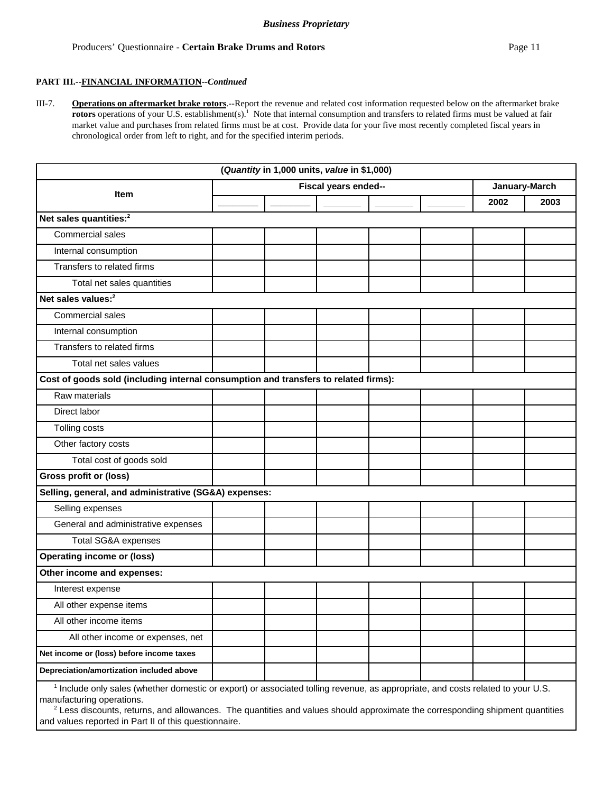III-7. **Operations on aftermarket brake rotors**.--Report the revenue and related cost information requested below on the aftermarket brake **rotors** operations of your U.S. establishment(s).<sup>1</sup> Note that internal consumption and transfers to related firms must be valued at fair market value and purchases from related firms must be at cost. Provide data for your five most recently completed fiscal years in chronological order from left to right, and for the specified interim periods.

|                                                                                                                                          |                              |  | (Quantity in 1,000 units, value in \$1,000) |  |  |      |               |
|------------------------------------------------------------------------------------------------------------------------------------------|------------------------------|--|---------------------------------------------|--|--|------|---------------|
|                                                                                                                                          | Fiscal years ended--<br>Item |  |                                             |  |  |      | January-March |
|                                                                                                                                          |                              |  |                                             |  |  | 2002 | 2003          |
| Net sales quantities: <sup>2</sup>                                                                                                       |                              |  |                                             |  |  |      |               |
| Commercial sales                                                                                                                         |                              |  |                                             |  |  |      |               |
| Internal consumption                                                                                                                     |                              |  |                                             |  |  |      |               |
| Transfers to related firms                                                                                                               |                              |  |                                             |  |  |      |               |
| Total net sales quantities                                                                                                               |                              |  |                                             |  |  |      |               |
| Net sales values: <sup>2</sup>                                                                                                           |                              |  |                                             |  |  |      |               |
| Commercial sales                                                                                                                         |                              |  |                                             |  |  |      |               |
| Internal consumption                                                                                                                     |                              |  |                                             |  |  |      |               |
| Transfers to related firms                                                                                                               |                              |  |                                             |  |  |      |               |
| Total net sales values                                                                                                                   |                              |  |                                             |  |  |      |               |
| Cost of goods sold (including internal consumption and transfers to related firms):                                                      |                              |  |                                             |  |  |      |               |
| Raw materials                                                                                                                            |                              |  |                                             |  |  |      |               |
| Direct labor                                                                                                                             |                              |  |                                             |  |  |      |               |
| Tolling costs                                                                                                                            |                              |  |                                             |  |  |      |               |
| Other factory costs                                                                                                                      |                              |  |                                             |  |  |      |               |
| Total cost of goods sold                                                                                                                 |                              |  |                                             |  |  |      |               |
| <b>Gross profit or (loss)</b>                                                                                                            |                              |  |                                             |  |  |      |               |
| Selling, general, and administrative (SG&A) expenses:                                                                                    |                              |  |                                             |  |  |      |               |
| Selling expenses                                                                                                                         |                              |  |                                             |  |  |      |               |
| General and administrative expenses                                                                                                      |                              |  |                                             |  |  |      |               |
| Total SG&A expenses                                                                                                                      |                              |  |                                             |  |  |      |               |
| <b>Operating income or (loss)</b>                                                                                                        |                              |  |                                             |  |  |      |               |
| Other income and expenses:                                                                                                               |                              |  |                                             |  |  |      |               |
| Interest expense                                                                                                                         |                              |  |                                             |  |  |      |               |
| All other expense items                                                                                                                  |                              |  |                                             |  |  |      |               |
| All other income items                                                                                                                   |                              |  |                                             |  |  |      |               |
| All other income or expenses, net                                                                                                        |                              |  |                                             |  |  |      |               |
| Net income or (loss) before income taxes                                                                                                 |                              |  |                                             |  |  |      |               |
| Depreciation/amortization included above                                                                                                 |                              |  |                                             |  |  |      |               |
| $\frac{1}{2}$ include only sales (whether domestic or export) or associated tolling revenue as appropriate and costs related to your LLS |                              |  |                                             |  |  |      |               |

 Include only sales (whether domestic or export) or associated tolling revenue, as appropriate, and costs related to your U.S. manufacturing operations.

 $^2$  Less discounts, returns, and allowances. The quantities and values should approximate the corresponding shipment quantities and values reported in Part II of this questionnaire.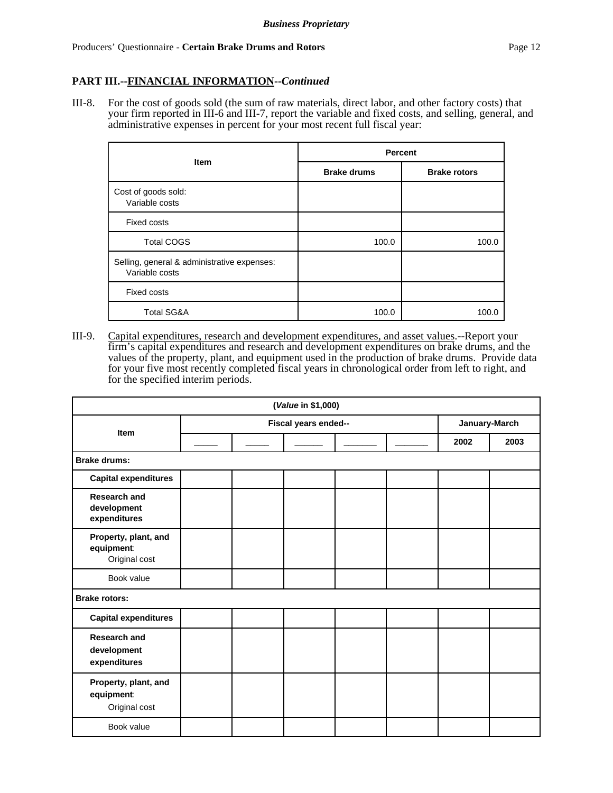### **PART III.--FINANCIAL INFORMATION--***Continued*

III-8. For the cost of goods sold (the sum of raw materials, direct labor, and other factory costs) that your firm reported in III-6 and III-7, report the variable and fixed costs, and selling, general, and administrative expenses in percent for your most recent full fiscal year:

|                                                               | Percent            |                     |  |
|---------------------------------------------------------------|--------------------|---------------------|--|
| <b>Item</b>                                                   | <b>Brake drums</b> | <b>Brake rotors</b> |  |
| Cost of goods sold:<br>Variable costs                         |                    |                     |  |
| <b>Fixed costs</b>                                            |                    |                     |  |
| <b>Total COGS</b>                                             | 100.0              | 100.0               |  |
| Selling, general & administrative expenses:<br>Variable costs |                    |                     |  |
| <b>Fixed costs</b>                                            |                    |                     |  |
| <b>Total SG&amp;A</b>                                         | 100.0              | 100.0               |  |

III-9. Capital expenditures, research and development expenditures, and asset values.--Report your firm's capital expenditures and research and development expenditures on brake drums, and the values of the property, plant, and equipment used in the production of brake drums. Provide data for your five most recently completed fiscal years in chronological order from left to right, and for the specified interim periods.

|                                                     |                      | (Value in \$1,000) |  |  |               |      |
|-----------------------------------------------------|----------------------|--------------------|--|--|---------------|------|
| Item                                                | Fiscal years ended-- |                    |  |  | January-March |      |
|                                                     |                      |                    |  |  | 2002          | 2003 |
| <b>Brake drums:</b>                                 |                      |                    |  |  |               |      |
| <b>Capital expenditures</b>                         |                      |                    |  |  |               |      |
| <b>Research and</b><br>development<br>expenditures  |                      |                    |  |  |               |      |
| Property, plant, and<br>equipment:<br>Original cost |                      |                    |  |  |               |      |
| Book value                                          |                      |                    |  |  |               |      |
| <b>Brake rotors:</b>                                |                      |                    |  |  |               |      |
| <b>Capital expenditures</b>                         |                      |                    |  |  |               |      |
| <b>Research and</b><br>development<br>expenditures  |                      |                    |  |  |               |      |
| Property, plant, and<br>equipment:<br>Original cost |                      |                    |  |  |               |      |
| Book value                                          |                      |                    |  |  |               |      |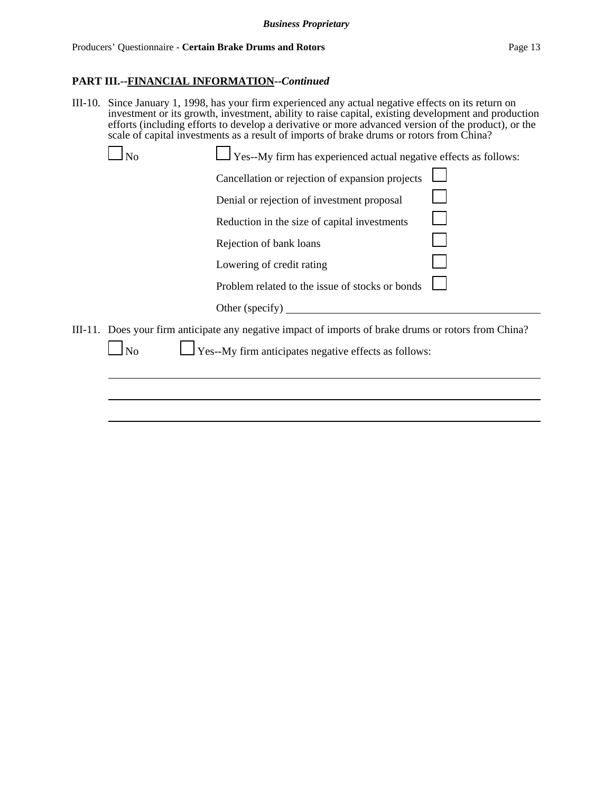#### **PART III.--FINANCIAL INFORMATION--***Continued*

III-10. Since January 1, 1998, has your firm experienced any actual negative effects on its return on investment or its growth, investment, ability to raise capital, existing development and production efforts (including efforts to develop a derivative or more advanced version of the product), or the scale of capital investments as a result of imports of brake drums or rotors from China?

|    | $\frac{1}{2}$ Yes--My firm has experienced actual negative effects as follows:                        |  |
|----|-------------------------------------------------------------------------------------------------------|--|
|    | Cancellation or rejection of expansion projects                                                       |  |
|    | Denial or rejection of investment proposal                                                            |  |
|    | Reduction in the size of capital investments                                                          |  |
|    | Rejection of bank loans                                                                               |  |
|    | Lowering of credit rating                                                                             |  |
|    | Problem related to the issue of stocks or bonds                                                       |  |
|    | Other (specify) $\overline{\phantom{a}}$                                                              |  |
|    | III-11. Does your firm anticipate any negative impact of imports of brake drums or rotors from China? |  |
| No | $\Gamma$ Yes--My firm anticipates negative effects as follows:                                        |  |
|    |                                                                                                       |  |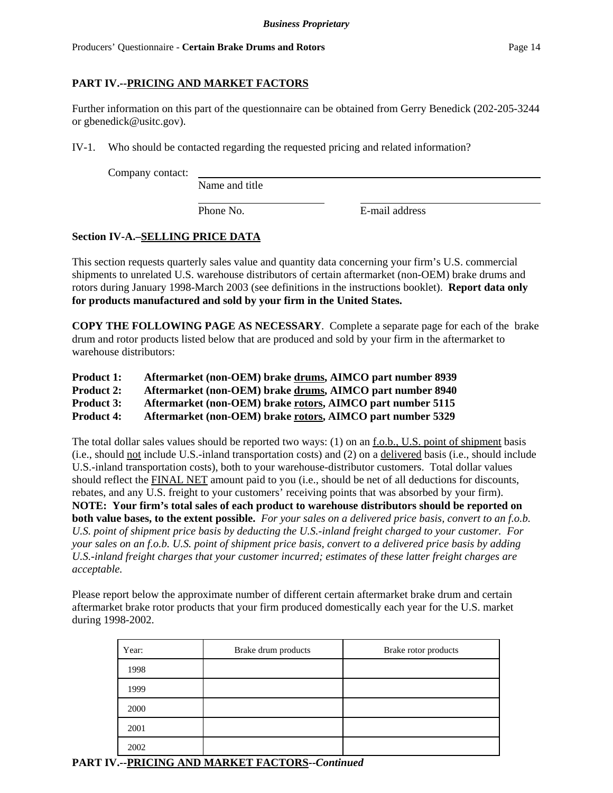# **PART IV.--PRICING AND MARKET FACTORS**

Further information on this part of the questionnaire can be obtained from Gerry Benedick (202-205-3244 or gbenedick@usitc.gov).

IV-1. Who should be contacted regarding the requested pricing and related information?

Company contact:

Name and title

Phone No. **E-mail address** 

# **Section IV-A.–SELLING PRICE DATA**

This section requests quarterly sales value and quantity data concerning your firm's U.S. commercial shipments to unrelated U.S. warehouse distributors of certain aftermarket (non-OEM) brake drums and rotors during January 1998-March 2003 (see definitions in the instructions booklet). **Report data only for products manufactured and sold by your firm in the United States.**

**COPY THE FOLLOWING PAGE AS NECESSARY**. Complete a separate page for each of the brake drum and rotor products listed below that are produced and sold by your firm in the aftermarket to warehouse distributors:

| <b>Product 1:</b> | Aftermarket (non-OEM) brake drums, AIMCO part number 8939 |
|-------------------|-----------------------------------------------------------|
| <b>Product 2:</b> | Aftermarket (non-OEM) brake drums, AIMCO part number 8940 |

**Product 3: Aftermarket (non-OEM) brake rotors, AIMCO part number 5115**

**Product 4: Aftermarket (non-OEM) brake rotors, AIMCO part number 5329**

The total dollar sales values should be reported two ways: (1) on an f.o.b., U.S. point of shipment basis (i.e., should not include U.S.-inland transportation costs) and (2) on a delivered basis (i.e., should include U.S.-inland transportation costs), both to your warehouse-distributor customers. Total dollar values should reflect the FINAL NET amount paid to you (i.e., should be net of all deductions for discounts, rebates, and any U.S. freight to your customers' receiving points that was absorbed by your firm). **NOTE: Your firm's total sales of each product to warehouse distributors should be reported on both value bases, to the extent possible.** *For your sales on a delivered price basis, convert to an f.o.b. U.S. point of shipment price basis by deducting the U.S.-inland freight charged to your customer. For your sales on an f.o.b. U.S. point of shipment price basis, convert to a delivered price basis by adding U.S.-inland freight charges that your customer incurred; estimates of these latter freight charges are acceptable.*

Please report below the approximate number of different certain aftermarket brake drum and certain aftermarket brake rotor products that your firm produced domestically each year for the U.S. market during 1998-2002.

| Year: | Brake drum products | Brake rotor products |
|-------|---------------------|----------------------|
| 1998  |                     |                      |
| 1999  |                     |                      |
| 2000  |                     |                      |
| 2001  |                     |                      |
| 2002  |                     |                      |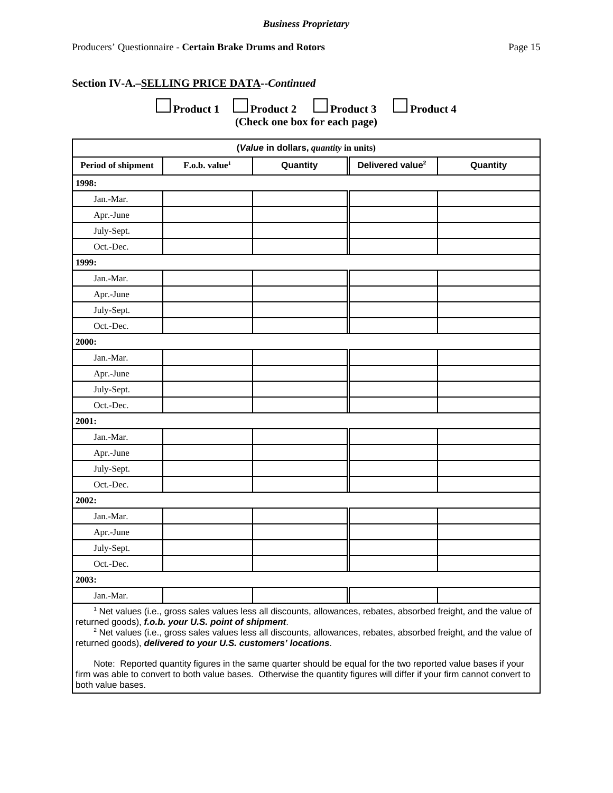#### **Section IV-A.–SELLING PRICE DATA--***Continued*

| $\Box$ Product 1 $\Box$ Product 2 | $\Box$ Product 3              | $\Box$ Product 4 |
|-----------------------------------|-------------------------------|------------------|
|                                   | (Check one box for each page) |                  |

| (Value in dollars, quantity in units) |                           |          |                              |          |
|---------------------------------------|---------------------------|----------|------------------------------|----------|
| Period of shipment                    | F.o.b. value <sup>1</sup> | Quantity | Delivered value <sup>2</sup> | Quantity |
| 1998:                                 |                           |          |                              |          |
| Jan.-Mar.                             |                           |          |                              |          |
| Apr.-June                             |                           |          |                              |          |
| July-Sept.                            |                           |          |                              |          |
| Oct.-Dec.                             |                           |          |                              |          |
| 1999:                                 |                           |          |                              |          |
| Jan.-Mar.                             |                           |          |                              |          |
| Apr.-June                             |                           |          |                              |          |
| July-Sept.                            |                           |          |                              |          |
| Oct.-Dec.                             |                           |          |                              |          |
| 2000:                                 |                           |          |                              |          |
| Jan.-Mar.                             |                           |          |                              |          |
| Apr.-June                             |                           |          |                              |          |
| July-Sept.                            |                           |          |                              |          |
| Oct.-Dec.                             |                           |          |                              |          |
| 2001:                                 |                           |          |                              |          |
| Jan.-Mar.                             |                           |          |                              |          |
| Apr.-June                             |                           |          |                              |          |
| July-Sept.                            |                           |          |                              |          |
| Oct.-Dec.                             |                           |          |                              |          |
| 2002:                                 |                           |          |                              |          |
| Jan.-Mar.                             |                           |          |                              |          |
| Apr.-June                             |                           |          |                              |          |
| July-Sept.                            |                           |          |                              |          |
| Oct.-Dec.                             |                           |          |                              |          |
| 2003:                                 |                           |          |                              |          |
| Jan.-Mar.                             |                           |          |                              |          |

<sup>1</sup> Net values (i.e., gross sales values less all discounts, allowances, rebates, absorbed freight, and the value of returned goods), *f.o.b. your U.S. point of shipment*.

 $^2$  Net values (i.e., gross sales values less all discounts, allowances, rebates, absorbed freight, and the value of returned goods), *delivered to your U.S. customers' locations*.

Note: Reported quantity figures in the same quarter should be equal for the two reported value bases if your firm was able to convert to both value bases. Otherwise the quantity figures will differ if your firm cannot convert to both value bases.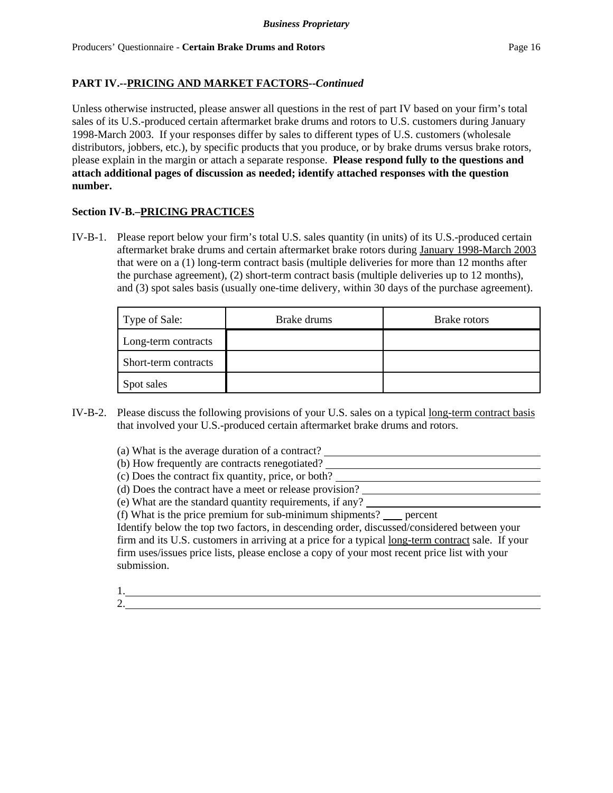Unless otherwise instructed, please answer all questions in the rest of part IV based on your firm's total sales of its U.S.-produced certain aftermarket brake drums and rotors to U.S. customers during January 1998-March 2003. If your responses differ by sales to different types of U.S. customers (wholesale distributors, jobbers, etc.), by specific products that you produce, or by brake drums versus brake rotors, please explain in the margin or attach a separate response. **Please respond fully to the questions and attach additional pages of discussion as needed; identify attached responses with the question number.**

### **Section IV-B.–PRICING PRACTICES**

IV-B-1. Please report below your firm's total U.S. sales quantity (in units) of its U.S.-produced certain aftermarket brake drums and certain aftermarket brake rotors during January 1998-March 2003 that were on a (1) long-term contract basis (multiple deliveries for more than 12 months after the purchase agreement), (2) short-term contract basis (multiple deliveries up to 12 months), and (3) spot sales basis (usually one-time delivery, within 30 days of the purchase agreement).

| Type of Sale:        | Brake drums | Brake rotors |
|----------------------|-------------|--------------|
| Long-term contracts  |             |              |
| Short-term contracts |             |              |
| Spot sales           |             |              |

IV-B-2. Please discuss the following provisions of your U.S. sales on a typical long-term contract basis that involved your U.S.-produced certain aftermarket brake drums and rotors.

(a) What is the average duration of a contract?

- (b) How frequently are contracts renegotiated?
- (c) Does the contract fix quantity, price, or both?
- (d) Does the contract have a meet or release provision?
- (e) What are the standard quantity requirements, if any?

(f) What is the price premium for sub-minimum shipments? percent

Identify below the top two factors, in descending order, discussed/considered between your firm and its U.S. customers in arriving at a price for a typical long-term contract sale. If your firm uses/issues price lists, please enclose a copy of your most recent price list with your submission.

- 1.
- 2.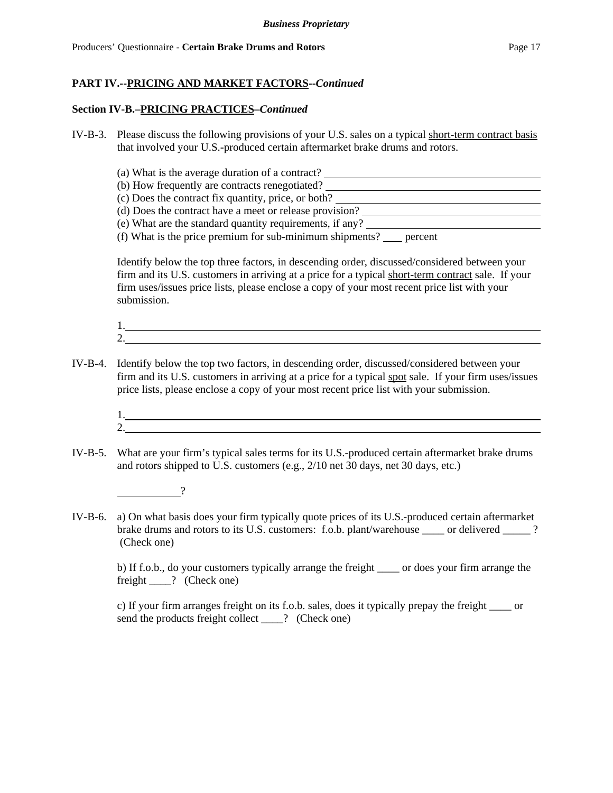#### **Section IV-B.–PRICING PRACTICES–***Continued*

- IV-B-3. Please discuss the following provisions of your U.S. sales on a typical short-term contract basis that involved your U.S.-produced certain aftermarket brake drums and rotors.
	- (a) What is the average duration of a contract? (b) How frequently are contracts renegotiated? (c) Does the contract fix quantity, price, or both? (d) Does the contract have a meet or release provision? (e) What are the standard quantity requirements, if any?
	- (f) What is the price premium for sub-minimum shipments?  $\qquad$  percent

Identify below the top three factors, in descending order, discussed/considered between your firm and its U.S. customers in arriving at a price for a typical short-term contract sale. If your firm uses/issues price lists, please enclose a copy of your most recent price list with your submission.

$$
\underbrace{1.}{2.}
$$

- IV-B-4. Identify below the top two factors, in descending order, discussed/considered between your firm and its U.S. customers in arriving at a price for a typical spot sale. If your firm uses/issues price lists, please enclose a copy of your most recent price list with your submission.
	- 1. 2.
- IV-B-5. What are your firm's typical sales terms for its U.S.-produced certain aftermarket brake drums and rotors shipped to U.S. customers (e.g., 2/10 net 30 days, net 30 days, etc.)

?

IV-B-6. a) On what basis does your firm typically quote prices of its U.S.-produced certain aftermarket brake drums and rotors to its U.S. customers: f.o.b. plant/warehouse or delivered ? (Check one)

b) If f.o.b., do your customers typically arrange the freight \_\_\_\_ or does your firm arrange the freight \_\_\_\_? (Check one)

c) If your firm arranges freight on its f.o.b. sales, does it typically prepay the freight \_\_\_\_ or send the products freight collect \_\_\_\_? (Check one)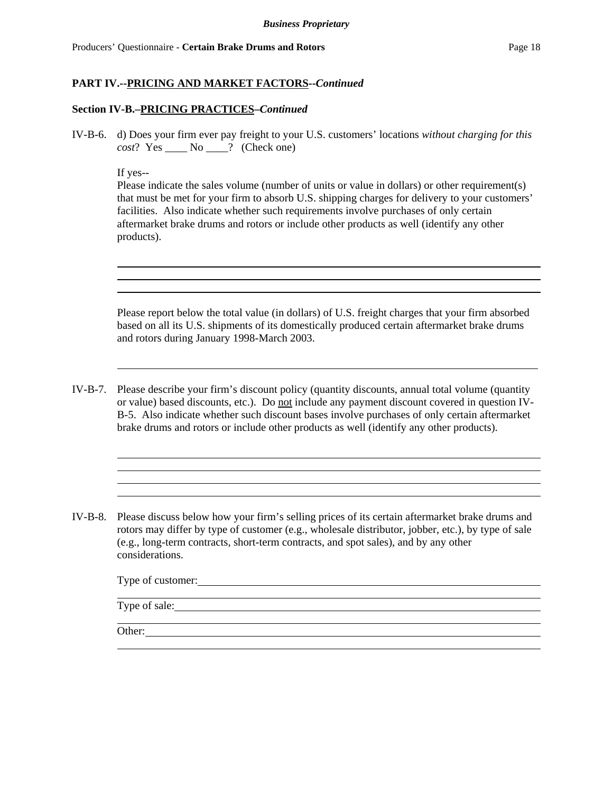#### **Section IV-B.–PRICING PRACTICES–***Continued*

IV-B-6. d) Does your firm ever pay freight to your U.S. customers' locations *without charging for this cost*? Yes \_\_\_\_ No \_\_\_\_? (Check one)

#### If yes--

Please indicate the sales volume (number of units or value in dollars) or other requirement(s) that must be met for your firm to absorb U.S. shipping charges for delivery to your customers' facilities. Also indicate whether such requirements involve purchases of only certain aftermarket brake drums and rotors or include other products as well (identify any other products).

Please report below the total value (in dollars) of U.S. freight charges that your firm absorbed based on all its U.S. shipments of its domestically produced certain aftermarket brake drums and rotors during January 1998-March 2003.

- IV-B-7. Please describe your firm's discount policy (quantity discounts, annual total volume (quantity or value) based discounts, etc.). Do not include any payment discount covered in question IV-B-5. Also indicate whether such discount bases involve purchases of only certain aftermarket brake drums and rotors or include other products as well (identify any other products).
- IV-B-8. Please discuss below how your firm's selling prices of its certain aftermarket brake drums and rotors may differ by type of customer (e.g., wholesale distributor, jobber, etc.), by type of sale (e.g., long-term contracts, short-term contracts, and spot sales), and by any other considerations.

Type of customer: Type of sale:

Other: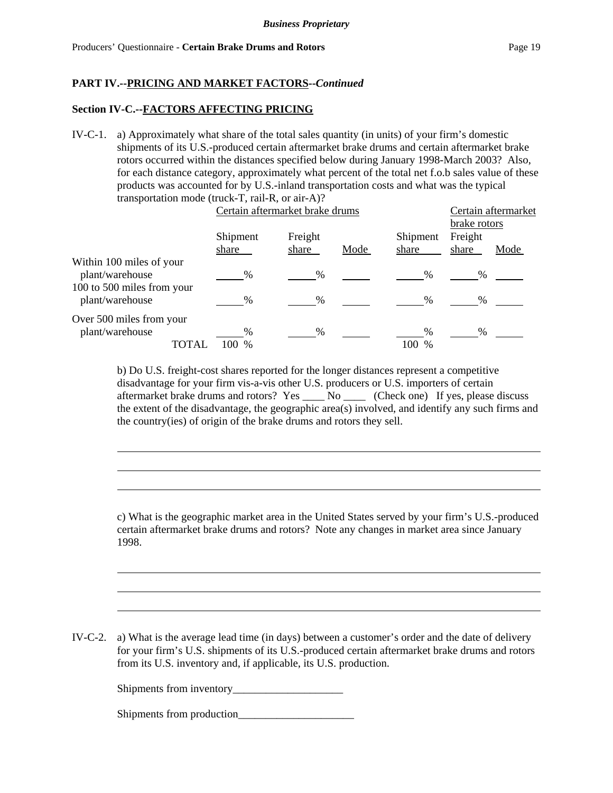#### **Section IV-C.--FACTORS AFFECTING PRICING**

IV-C-1. a) Approximately what share of the total sales quantity (in units) of your firm's domestic shipments of its U.S.-produced certain aftermarket brake drums and certain aftermarket brake rotors occurred within the distances specified below during January 1998-March 2003? Also, for each distance category, approximately what percent of the total net f.o.b sales value of these products was accounted for by U.S.-inland transportation costs and what was the typical transportation mode (truck-T, rail-R, or air-A)?

|                            | Certain aftermarket brake drums |               |      | Certain aftermarket<br>brake rotors |         |      |
|----------------------------|---------------------------------|---------------|------|-------------------------------------|---------|------|
|                            |                                 |               |      |                                     |         |      |
|                            | Shipment                        | Freight       |      | Shipment                            | Freight |      |
|                            | share                           | share         | Mode | share                               | share   | Mode |
| Within 100 miles of your   |                                 |               |      |                                     |         |      |
| plant/warehouse            | %                               | $\frac{0}{0}$ |      | $\frac{0}{0}$                       | %       |      |
| 100 to 500 miles from your |                                 |               |      |                                     |         |      |
| plant/warehouse            | %                               | %             |      | %                                   | %       |      |
| Over 500 miles from your   |                                 |               |      |                                     |         |      |
| plant/warehouse            | $\%$                            | $\frac{0}{0}$ |      | %                                   | %       |      |
| TOTAL                      | $\%$                            |               |      | 100<br>$\frac{0}{0}$                |         |      |

b) Do U.S. freight-cost shares reported for the longer distances represent a competitive disadvantage for your firm vis-a-vis other U.S. producers or U.S. importers of certain aftermarket brake drums and rotors? Yes \_\_\_\_ No \_\_\_\_ (Check one) If yes, please discuss the extent of the disadvantage, the geographic area(s) involved, and identify any such firms and the country(ies) of origin of the brake drums and rotors they sell.

c) What is the geographic market area in the United States served by your firm's U.S.-produced certain aftermarket brake drums and rotors? Note any changes in market area since January 1998.

IV-C-2. a) What is the average lead time (in days) between a customer's order and the date of delivery for your firm's U.S. shipments of its U.S.-produced certain aftermarket brake drums and rotors from its U.S. inventory and, if applicable, its U.S. production.

Shipments from inventory

Shipments from production\_\_\_\_\_\_\_\_\_\_\_\_\_\_\_\_\_\_\_\_\_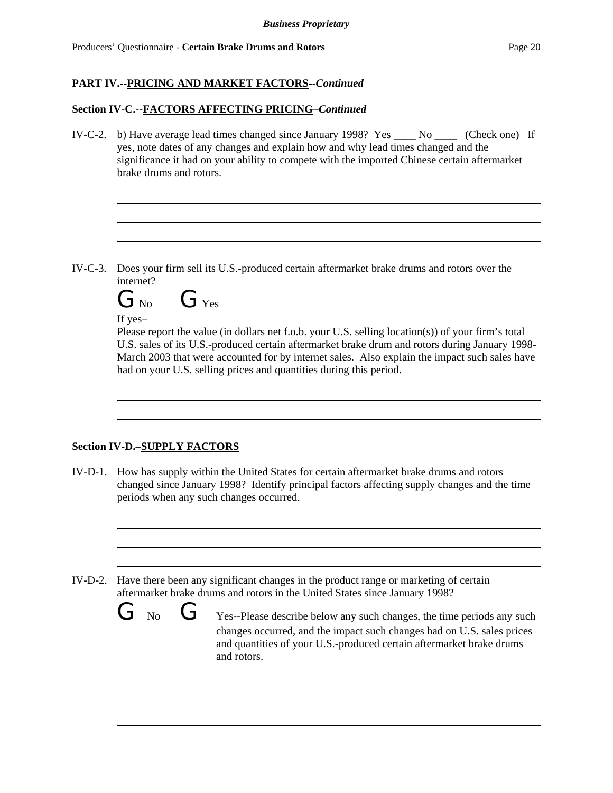### **Section IV-C.--FACTORS AFFECTING PRICING–***Continued*

IV-C-2. b) Have average lead times changed since January 1998? Yes \_\_\_\_ No \_\_\_\_ (Check one) If yes, note dates of any changes and explain how and why lead times changed and the significance it had on your ability to compete with the imported Chinese certain aftermarket brake drums and rotors.

IV-C-3. Does your firm sell its U.S.-produced certain aftermarket brake drums and rotors over the internet?

 $G_{\text{No}}$   $G_{\text{Yes}}$ 

### If yes–

Please report the value (in dollars net f.o.b. your U.S. selling location(s)) of your firm's total U.S. sales of its U.S.-produced certain aftermarket brake drum and rotors during January 1998- March 2003 that were accounted for by internet sales. Also explain the impact such sales have had on your U.S. selling prices and quantities during this period.

# **Section IV-D.–SUPPLY FACTORS**

IV-D-1. How has supply within the United States for certain aftermarket brake drums and rotors changed since January 1998? Identify principal factors affecting supply changes and the time periods when any such changes occurred.

IV-D-2. Have there been any significant changes in the product range or marketing of certain aftermarket brake drums and rotors in the United States since January 1998?

> $\overline{\mathbf{C}}$  No  $\overline{\mathbf{C}}$  Yes--Please describe below any such changes, the time periods any such changes occurred, and the impact such changes had on U.S. sales prices and quantities of your U.S.-produced certain aftermarket brake drums and rotors.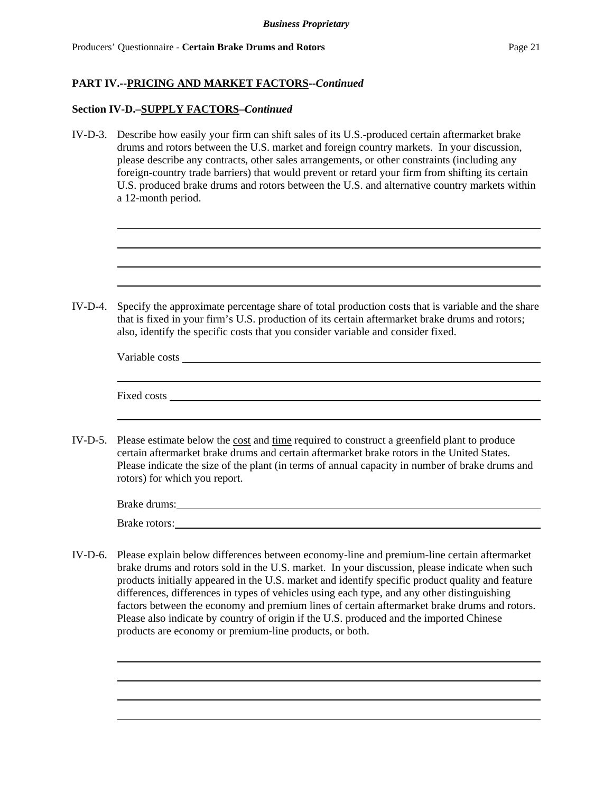#### **Section IV-D.–SUPPLY FACTORS–***Continued*

IV-D-3. Describe how easily your firm can shift sales of its U.S.-produced certain aftermarket brake drums and rotors between the U.S. market and foreign country markets. In your discussion, please describe any contracts, other sales arrangements, or other constraints (including any foreign-country trade barriers) that would prevent or retard your firm from shifting its certain U.S. produced brake drums and rotors between the U.S. and alternative country markets within a 12-month period.

| $IV-D-4$ . | Specify the approximate percentage share of total production costs that is variable and the share<br>that is fixed in your firm's U.S. production of its certain aftermarket brake drums and rotors;<br>also, identify the specific costs that you consider variable and consider fixed.                                              |
|------------|---------------------------------------------------------------------------------------------------------------------------------------------------------------------------------------------------------------------------------------------------------------------------------------------------------------------------------------|
|            |                                                                                                                                                                                                                                                                                                                                       |
|            | <u> 1989 - Johann Stoff, amerikansk politiker (* 1908)</u><br>Fixed costs <u>the cost</u> costs and contain the costs of the costs of the costs of the costs of the costs of the costs of the costs of the costs of the costs of the costs of the costs of the costs of the costs of the costs of                                     |
|            | IV-D-5. Please estimate below the cost and time required to construct a greenfield plant to produce<br>certain aftermarket brake drums and certain aftermarket brake rotors in the United States.<br>Please indicate the size of the plant (in terms of annual capacity in number of brake drums and<br>rotors) for which you report. |
|            | Brake drums:                                                                                                                                                                                                                                                                                                                          |
|            | Brake rotors: Note and the set of the set of the set of the set of the set of the set of the set of the set of the set of the set of the set of the set of the set of the set of the set of the set of the set of the set of t                                                                                                        |
|            | IV-D-6. Please explain below differences between economy-line and premium-line certain aftermarket<br>brake drums and rotors sold in the U.S. market. In your discussion, please indicate when such                                                                                                                                   |

products initially appeared in the U.S. market and identify specific product quality and feature differences, differences in types of vehicles using each type, and any other distinguishing factors between the economy and premium lines of certain aftermarket brake drums and rotors. Please also indicate by country of origin if the U.S. produced and the imported Chinese products are economy or premium-line products, or both.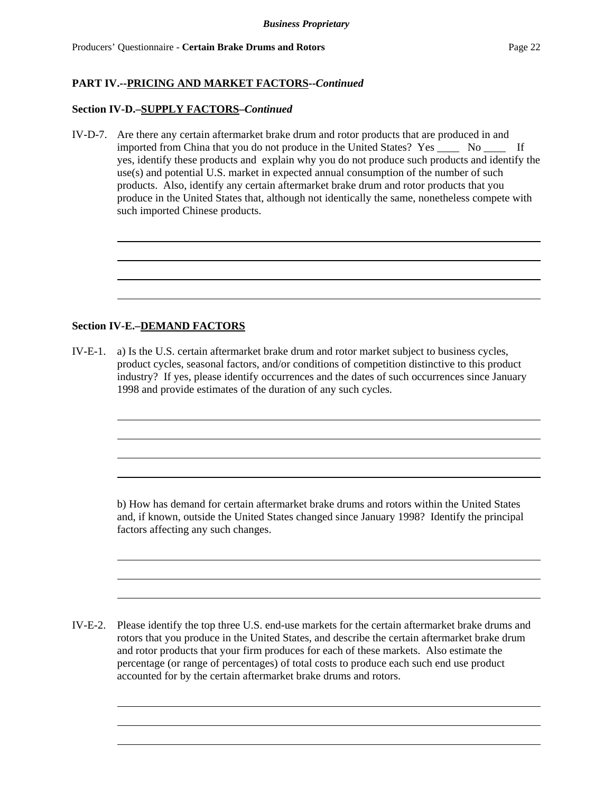#### **Section IV-D.–SUPPLY FACTORS–***Continued*

IV-D-7. Are there any certain aftermarket brake drum and rotor products that are produced in and imported from China that you do not produce in the United States? Yes \_\_\_\_ No \_\_\_\_ If yes, identify these products and explain why you do not produce such products and identify the use(s) and potential U.S. market in expected annual consumption of the number of such products. Also, identify any certain aftermarket brake drum and rotor products that you produce in the United States that, although not identically the same, nonetheless compete with such imported Chinese products.

#### **Section IV-E.–DEMAND FACTORS**

IV-E-1. a) Is the U.S. certain aftermarket brake drum and rotor market subject to business cycles, product cycles, seasonal factors, and/or conditions of competition distinctive to this product industry? If yes, please identify occurrences and the dates of such occurrences since January 1998 and provide estimates of the duration of any such cycles.

b) How has demand for certain aftermarket brake drums and rotors within the United States and, if known, outside the United States changed since January 1998? Identify the principal factors affecting any such changes.

IV-E-2. Please identify the top three U.S. end-use markets for the certain aftermarket brake drums and rotors that you produce in the United States, and describe the certain aftermarket brake drum and rotor products that your firm produces for each of these markets. Also estimate the percentage (or range of percentages) of total costs to produce each such end use product accounted for by the certain aftermarket brake drums and rotors.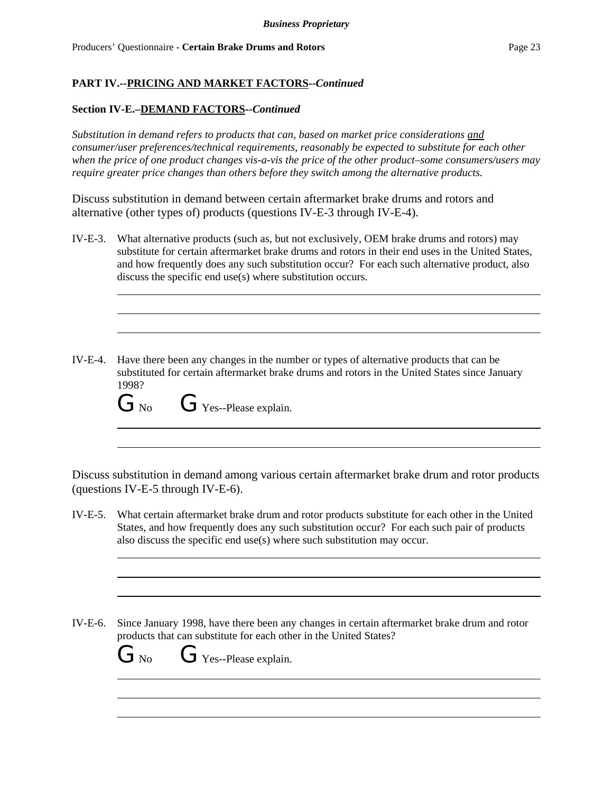### **Section IV-E.–DEMAND FACTORS--***Continued*

*Substitution in demand refers to products that can, based on market price considerations and consumer/user preferences/technical requirements, reasonably be expected to substitute for each other when the price of one product changes vis-a-vis the price of the other product–some consumers/users may require greater price changes than others before they switch among the alternative products.*

Discuss substitution in demand between certain aftermarket brake drums and rotors and alternative (other types of) products (questions IV-E-3 through IV-E-4).

- IV-E-3. What alternative products (such as, but not exclusively, OEM brake drums and rotors) may substitute for certain aftermarket brake drums and rotors in their end uses in the United States, and how frequently does any such substitution occur? For each such alternative product, also discuss the specific end use(s) where substitution occurs.
- IV-E-4. Have there been any changes in the number or types of alternative products that can be substituted for certain aftermarket brake drums and rotors in the United States since January 1998?

 $G_{\text{No}}$   $G_{\text{Yes-Please explain.}}$ 

Discuss substitution in demand among various certain aftermarket brake drum and rotor products (questions IV-E-5 through IV-E-6).

IV-E-5. What certain aftermarket brake drum and rotor products substitute for each other in the United States, and how frequently does any such substitution occur? For each such pair of products also discuss the specific end use(s) where such substitution may occur.

IV-E-6. Since January 1998, have there been any changes in certain aftermarket brake drum and rotor products that can substitute for each other in the United States?

 $\overline{\bigcup_{N_o}}$  No  $\overline{\bigcup_{N_{o}}}$  Yes--Please explain.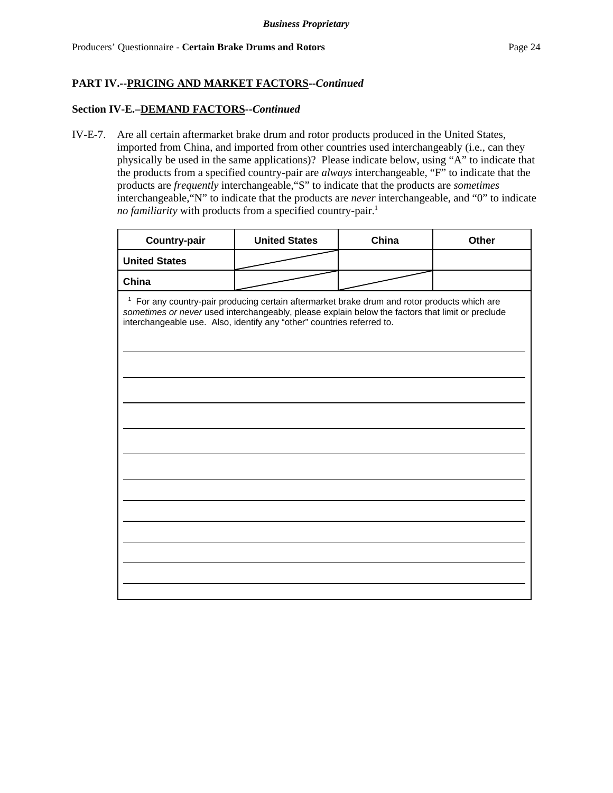#### **Section IV-E.–DEMAND FACTORS--***Continued*

IV-E-7. Are all certain aftermarket brake drum and rotor products produced in the United States, imported from China, and imported from other countries used interchangeably (i.e., can they physically be used in the same applications)? Please indicate below, using "A" to indicate that the products from a specified country-pair are *always* interchangeable, "F" to indicate that the products are *frequently* interchangeable,"S" to indicate that the products are *sometimes* interchangeable,"N" to indicate that the products are *never* interchangeable, and "0" to indicate *no familiarity* with products from a specified country-pair.<sup>1</sup>

| <b>Country-pair</b>                                                                                                                                                                                                                                                                      | <b>United States</b> | China | Other |  |
|------------------------------------------------------------------------------------------------------------------------------------------------------------------------------------------------------------------------------------------------------------------------------------------|----------------------|-------|-------|--|
| <b>United States</b>                                                                                                                                                                                                                                                                     |                      |       |       |  |
| China                                                                                                                                                                                                                                                                                    |                      |       |       |  |
| $\mathbf{1}$<br>For any country-pair producing certain aftermarket brake drum and rotor products which are<br>sometimes or never used interchangeably, please explain below the factors that limit or preclude<br>interchangeable use. Also, identify any "other" countries referred to. |                      |       |       |  |
|                                                                                                                                                                                                                                                                                          |                      |       |       |  |
|                                                                                                                                                                                                                                                                                          |                      |       |       |  |
|                                                                                                                                                                                                                                                                                          |                      |       |       |  |
|                                                                                                                                                                                                                                                                                          |                      |       |       |  |
|                                                                                                                                                                                                                                                                                          |                      |       |       |  |
|                                                                                                                                                                                                                                                                                          |                      |       |       |  |
|                                                                                                                                                                                                                                                                                          |                      |       |       |  |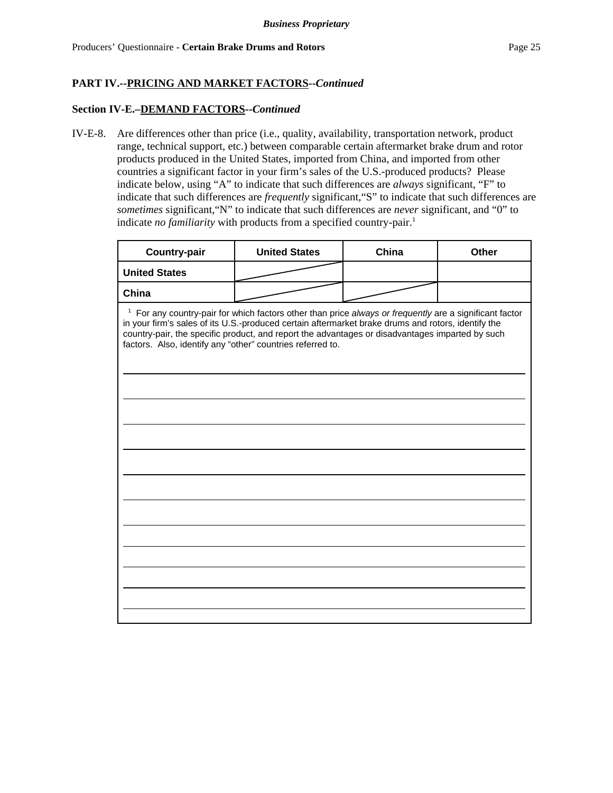#### **Section IV-E.–DEMAND FACTORS--***Continued*

IV-E-8. Are differences other than price (i.e., quality, availability, transportation network, product range, technical support, etc.) between comparable certain aftermarket brake drum and rotor products produced in the United States, imported from China, and imported from other countries a significant factor in your firm's sales of the U.S.-produced products? Please indicate below, using "A" to indicate that such differences are *always* significant, "F" to indicate that such differences are *frequently* significant,"S" to indicate that such differences are *sometimes* significant,"N" to indicate that such differences are *never* significant, and "0" to indicate *no familiarity* with products from a specified country-pair.<sup>1</sup>

| <b>Country-pair</b>                                                                                                                                                                                                                                                                                                                                                                       | <b>United States</b> | China | <b>Other</b> |  |
|-------------------------------------------------------------------------------------------------------------------------------------------------------------------------------------------------------------------------------------------------------------------------------------------------------------------------------------------------------------------------------------------|----------------------|-------|--------------|--|
| <b>United States</b>                                                                                                                                                                                                                                                                                                                                                                      |                      |       |              |  |
| China                                                                                                                                                                                                                                                                                                                                                                                     |                      |       |              |  |
| <sup>1</sup> For any country-pair for which factors other than price always or frequently are a significant factor<br>in your firm's sales of its U.S.-produced certain aftermarket brake drums and rotors, identify the<br>country-pair, the specific product, and report the advantages or disadvantages imparted by such<br>factors. Also, identify any "other" countries referred to. |                      |       |              |  |
|                                                                                                                                                                                                                                                                                                                                                                                           |                      |       |              |  |
|                                                                                                                                                                                                                                                                                                                                                                                           |                      |       |              |  |
|                                                                                                                                                                                                                                                                                                                                                                                           |                      |       |              |  |
|                                                                                                                                                                                                                                                                                                                                                                                           |                      |       |              |  |
|                                                                                                                                                                                                                                                                                                                                                                                           |                      |       |              |  |
|                                                                                                                                                                                                                                                                                                                                                                                           |                      |       |              |  |
|                                                                                                                                                                                                                                                                                                                                                                                           |                      |       |              |  |
|                                                                                                                                                                                                                                                                                                                                                                                           |                      |       |              |  |
|                                                                                                                                                                                                                                                                                                                                                                                           |                      |       |              |  |
|                                                                                                                                                                                                                                                                                                                                                                                           |                      |       |              |  |
|                                                                                                                                                                                                                                                                                                                                                                                           |                      |       |              |  |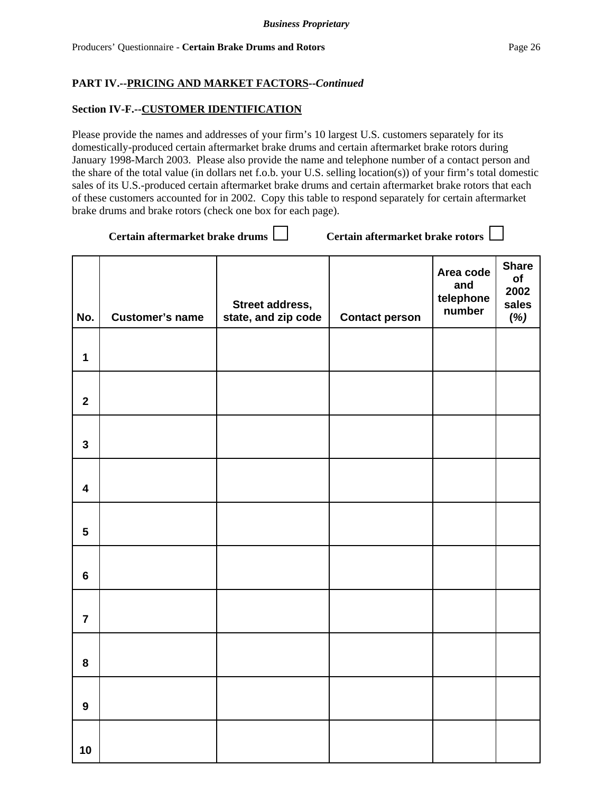#### **Section IV-F.--CUSTOMER IDENTIFICATION**

Please provide the names and addresses of your firm's 10 largest U.S. customers separately for its domestically-produced certain aftermarket brake drums and certain aftermarket brake rotors during January 1998-March 2003. Please also provide the name and telephone number of a contact person and the share of the total value (in dollars net f.o.b. your U.S. selling location(s)) of your firm's total domestic sales of its U.S.-produced certain aftermarket brake drums and certain aftermarket brake rotors that each of these customers accounted for in 2002. Copy this table to respond separately for certain aftermarket brake drums and brake rotors (check one box for each page).

Certain aftermarket brake drums  $\Box$  Certain aftermarket brake rotors  $\Box$ 

| No.                     | <b>Customer's name</b> | Street address,<br>state, and zip code | <b>Contact person</b> | Area code<br>and<br>telephone<br>number | <b>Share</b><br>of<br>2002<br>sales<br>(%) |
|-------------------------|------------------------|----------------------------------------|-----------------------|-----------------------------------------|--------------------------------------------|
| $\mathbf{1}$            |                        |                                        |                       |                                         |                                            |
| $\overline{2}$          |                        |                                        |                       |                                         |                                            |
| $\overline{\mathbf{3}}$ |                        |                                        |                       |                                         |                                            |
| $\overline{\mathbf{4}}$ |                        |                                        |                       |                                         |                                            |
| $\overline{\mathbf{5}}$ |                        |                                        |                       |                                         |                                            |
| $6\phantom{a}$          |                        |                                        |                       |                                         |                                            |
| $\overline{7}$          |                        |                                        |                       |                                         |                                            |
| 8                       |                        |                                        |                       |                                         |                                            |
| $\mathbf{9}$            |                        |                                        |                       |                                         |                                            |
| 10                      |                        |                                        |                       |                                         |                                            |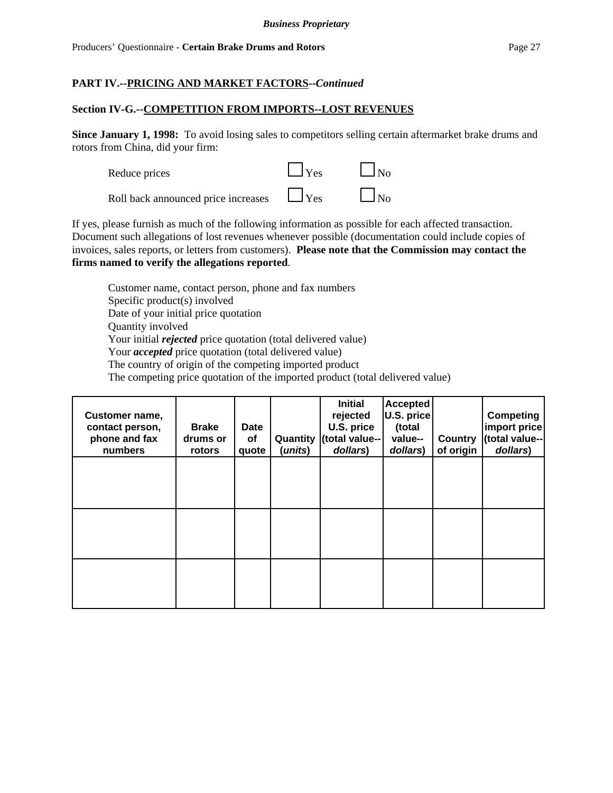### **Section IV-G.--COMPETITION FROM IMPORTS--LOST REVENUES**

**Since January 1, 1998:** To avoid losing sales to competitors selling certain aftermarket brake drums and rotors from China, did your firm:



If yes, please furnish as much of the following information as possible for each affected transaction. Document such allegations of lost revenues whenever possible (documentation could include copies of invoices, sales reports, or letters from customers). **Please note that the Commission may contact the firms named to verify the allegations reported**.

Customer name, contact person, phone and fax numbers Specific product(s) involved Date of your initial price quotation Quantity involved Your initial *rejected* price quotation (total delivered value) Your *accepted* price quotation (total delivered value) The country of origin of the competing imported product The competing price quotation of the imported product (total delivered value)

| Customer name,<br>contact person,<br>phone and fax<br>numbers | <b>Brake</b><br>drums or<br>rotors | Date<br>of<br>quote | (units) | <b>Initial</b><br>rejected<br>U.S. price<br>Quantity (total value--<br>dollars) | <b>Accepted</b><br>U.S. price<br>(total<br>value--<br>dollars) | Country<br>of origin | <b>Competing</b><br>import price<br>(total value--<br>dollars) |
|---------------------------------------------------------------|------------------------------------|---------------------|---------|---------------------------------------------------------------------------------|----------------------------------------------------------------|----------------------|----------------------------------------------------------------|
|                                                               |                                    |                     |         |                                                                                 |                                                                |                      |                                                                |
|                                                               |                                    |                     |         |                                                                                 |                                                                |                      |                                                                |
|                                                               |                                    |                     |         |                                                                                 |                                                                |                      |                                                                |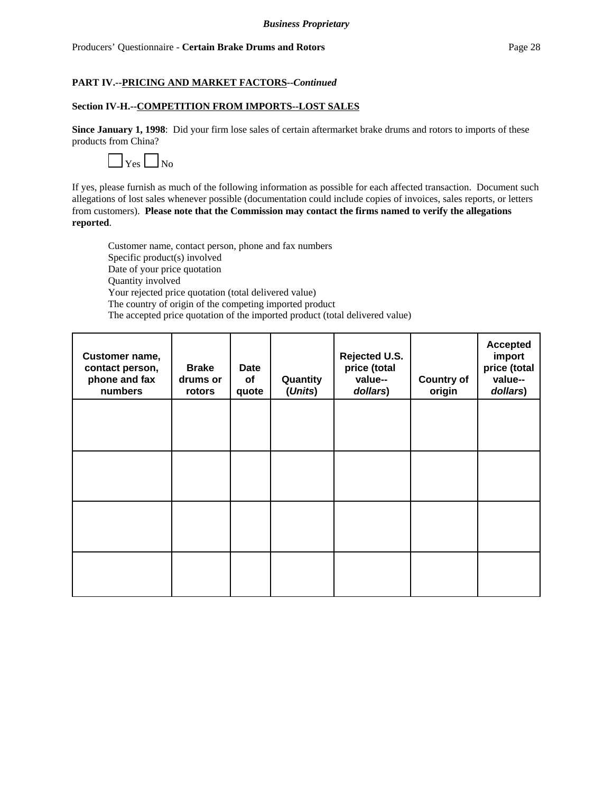#### **Section IV-H.--COMPETITION FROM IMPORTS--LOST SALES**

**Since January 1, 1998**: Did your firm lose sales of certain aftermarket brake drums and rotors to imports of these products from China?



If yes, please furnish as much of the following information as possible for each affected transaction. Document such allegations of lost sales whenever possible (documentation could include copies of invoices, sales reports, or letters from customers). **Please note that the Commission may contact the firms named to verify the allegations reported**.

Customer name, contact person, phone and fax numbers Specific product(s) involved Date of your price quotation Quantity involved Your rejected price quotation (total delivered value) The country of origin of the competing imported product The accepted price quotation of the imported product (total delivered value)

| Customer name,<br>contact person,<br>phone and fax<br>numbers | <b>Brake</b><br>drums or<br>rotors | Date<br>of<br>quote | Quantity<br>(Units) | Rejected U.S.<br>price (total<br>value--<br>dollars) | <b>Country of</b><br>origin | <b>Accepted</b><br>import<br>price (total<br>value--<br>dollars) |
|---------------------------------------------------------------|------------------------------------|---------------------|---------------------|------------------------------------------------------|-----------------------------|------------------------------------------------------------------|
|                                                               |                                    |                     |                     |                                                      |                             |                                                                  |
|                                                               |                                    |                     |                     |                                                      |                             |                                                                  |
|                                                               |                                    |                     |                     |                                                      |                             |                                                                  |
|                                                               |                                    |                     |                     |                                                      |                             |                                                                  |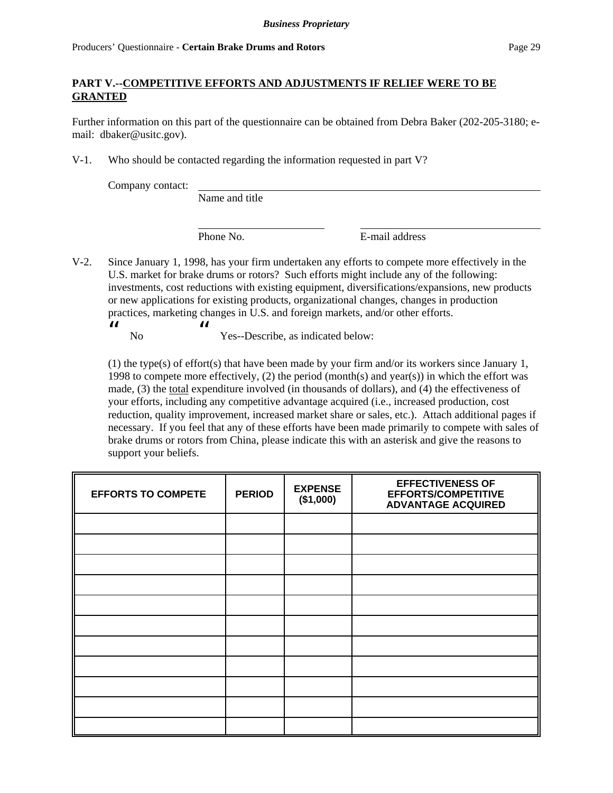### **PART V.--COMPETITIVE EFFORTS AND ADJUSTMENTS IF RELIEF WERE TO BE GRANTED**

Further information on this part of the questionnaire can be obtained from Debra Baker (202-205-3180; email: dbaker@usitc.gov).

V-1. Who should be contacted regarding the information requested in part V?

Company contact:

Name and title

Phone No. **E-mail address** 

V-2. Since January 1, 1998, has your firm undertaken any efforts to compete more effectively in the U.S. market for brake drums or rotors? Such efforts might include any of the following: investments, cost reductions with existing equipment, diversifications/expansions, new products or new applications for existing products, organizational changes, changes in production practices, marketing changes in U.S. and foreign markets, and/or other efforts.  $\boldsymbol{\mathcal{U}}$ 

 No  $\boldsymbol{\mathcal{U}}$ Yes--Describe, as indicated below:

(1) the type(s) of effort(s) that have been made by your firm and/or its workers since January 1, 1998 to compete more effectively, (2) the period (month(s) and year(s)) in which the effort was made, (3) the total expenditure involved (in thousands of dollars), and (4) the effectiveness of your efforts, including any competitive advantage acquired (i.e., increased production, cost reduction, quality improvement, increased market share or sales, etc.). Attach additional pages if necessary. If you feel that any of these efforts have been made primarily to compete with sales of brake drums or rotors from China, please indicate this with an asterisk and give the reasons to support your beliefs.

| <b>EFFORTS TO COMPETE</b> | <b>PERIOD</b> | <b>EXPENSE</b><br>(\$1,000) | <b>EFFECTIVENESS OF</b><br>EFFORTS/COMPETITIVE<br><b>ADVANTAGE ACQUIRED</b> |
|---------------------------|---------------|-----------------------------|-----------------------------------------------------------------------------|
|                           |               |                             |                                                                             |
|                           |               |                             |                                                                             |
|                           |               |                             |                                                                             |
|                           |               |                             |                                                                             |
|                           |               |                             |                                                                             |
|                           |               |                             |                                                                             |
|                           |               |                             |                                                                             |
|                           |               |                             |                                                                             |
|                           |               |                             |                                                                             |
|                           |               |                             |                                                                             |
|                           |               |                             |                                                                             |